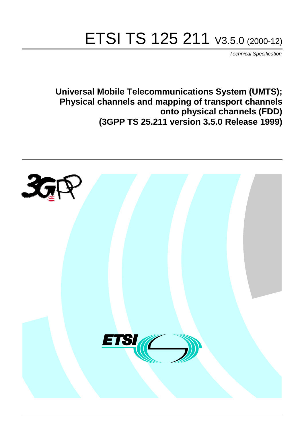# ETSI TS 125 211 V3.5.0 (2000-12)

Technical Specification

**Universal Mobile Telecommunications System (UMTS); Physical channels and mapping of transport channels onto physical channels (FDD) (3GPP TS 25.211 version 3.5.0 Release 1999)**

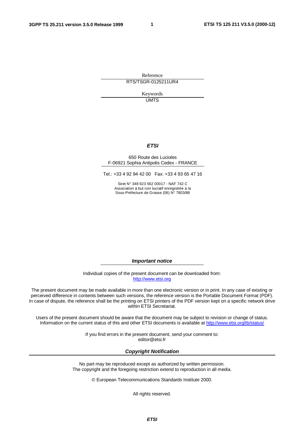**1**

Reference RTS/TSGR-0125211UR4

> Keywords **UMTS**

#### **ETSI**

#### 650 Route des Lucioles F-06921 Sophia Antipolis Cedex - FRANCE

Tel.: +33 4 92 94 42 00 Fax: +33 4 93 65 47 16

Siret N° 348 623 562 00017 - NAF 742 C Association à but non lucratif enregistrée à la Sous-Préfecture de Grasse (06) N° 7803/88

**Important notice**

Individual copies of the present document can be downloaded from: [http://www.etsi.org](http://www.etsi.org/)

The present document may be made available in more than one electronic version or in print. In any case of existing or perceived difference in contents between such versions, the reference version is the Portable Document Format (PDF). In case of dispute, the reference shall be the printing on ETSI printers of the PDF version kept on a specific network drive within ETSI Secretariat.

Users of the present document should be aware that the document may be subject to revision or change of status. Information on the current status of this and other ETSI documents is available at [http://www.etsi.org/tb/status/](http://www.etsi.org/tb/status)

> If you find errors in the present document, send your comment to: <editor@etsi.fr>

#### **Copyright Notification**

No part may be reproduced except as authorized by written permission. The copyright and the foregoing restriction extend to reproduction in all media.

© European Telecommunications Standards Institute 2000.

All rights reserved.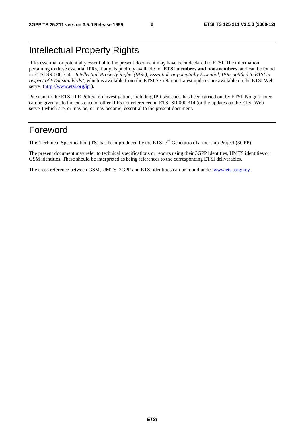# Intellectual Property Rights

IPRs essential or potentially essential to the present document may have been declared to ETSI. The information pertaining to these essential IPRs, if any, is publicly available for **ETSI members and non-members**, and can be found in ETSI SR 000 314: *"Intellectual Property Rights (IPRs); Essential, or potentially Essential, IPRs notified to ETSI in respect of ETSI standards"*, which is available from the ETSI Secretariat. Latest updates are available on the ETSI Web server [\(http://www.etsi.org/ipr](http://www.etsi.org/ipr)).

Pursuant to the ETSI IPR Policy, no investigation, including IPR searches, has been carried out by ETSI. No guarantee can be given as to the existence of other IPRs not referenced in ETSI SR 000 314 (or the updates on the ETSI Web server) which are, or may be, or may become, essential to the present document.

# Foreword

This Technical Specification (TS) has been produced by the ETSI 3<sup>rd</sup> Generation Partnership Project (3GPP).

The present document may refer to technical specifications or reports using their 3GPP identities, UMTS identities or GSM identities. These should be interpreted as being references to the corresponding ETSI deliverables.

The cross reference between GSM, UMTS, 3GPP and ETSI identities can be found under [www.etsi.org/key](http://www.etsi.org/key) .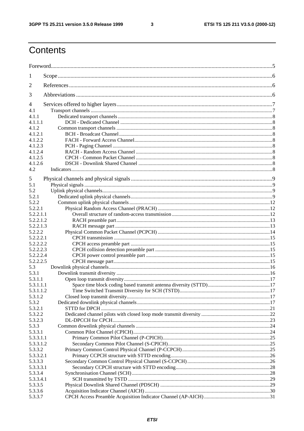$\mathbf{3}$ 

# Contents

| 1                    |  |
|----------------------|--|
| 2                    |  |
| 3                    |  |
| 4                    |  |
| 4.1                  |  |
| 4.1.1                |  |
| 4.1.1.1              |  |
| 4.1.2                |  |
| 4.1.2.1              |  |
| 4.1.2.2              |  |
| 4.1.2.3              |  |
| 4.1.2.4              |  |
| 4.1.2.5              |  |
| 4.1.2.6              |  |
| 4.2                  |  |
| 5                    |  |
| 5.1                  |  |
| 5.2                  |  |
| 5.2.1                |  |
| 5.2.2                |  |
| 5.2.2.1              |  |
| 5.2.2.1.1            |  |
| 5.2.2.1.2            |  |
| 5.2.2.1.3            |  |
| 5.2.2.2              |  |
| 5.2.2.2.1            |  |
| 5.2.2.2.2            |  |
| 5.2.2.2.3            |  |
| 5.2.2.2.4            |  |
| 5.2.2.2.5            |  |
| 5.3                  |  |
| 5.3.1                |  |
| 5.3.1.1              |  |
| 5.3.1.1.1            |  |
| 5.3.1.1.2            |  |
| 5.3.1.2              |  |
| 5.3.2                |  |
| 5.3.2.1              |  |
| 5.3.2.2              |  |
| 5.3.2.3              |  |
| 5.3.3                |  |
| 5.3.3.1              |  |
| 5.3.3.1.1            |  |
| 5.3.3.1.2            |  |
| 5.3.3.2<br>5.3.3.2.1 |  |
| 5.3.3.3              |  |
| 5.3.3.3.1            |  |
| 5.3.3.4              |  |
| 5.3.3.4.1            |  |
| 5.3.3.5              |  |
| 5.3.3.6              |  |
| 5.3.3.7              |  |
|                      |  |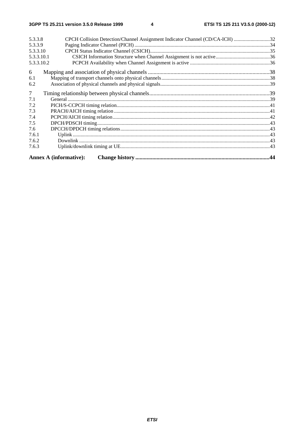| 5.3.3.8    |                               |  |
|------------|-------------------------------|--|
| 5.3.3.9    |                               |  |
| 5.3.3.10   |                               |  |
| 5.3.3.10.1 |                               |  |
| 5.3.3.10.2 |                               |  |
| 6          |                               |  |
| 6.1        |                               |  |
| 6.2        |                               |  |
| $\tau$     |                               |  |
| 7.1        |                               |  |
| 7.2        |                               |  |
| 7.3        |                               |  |
| 7.4        |                               |  |
| 7.5        |                               |  |
| 7.6        |                               |  |
| 7.6.1      |                               |  |
| 7.6.2      |                               |  |
| 7.6.3      |                               |  |
|            | <b>Annex A (informative):</b> |  |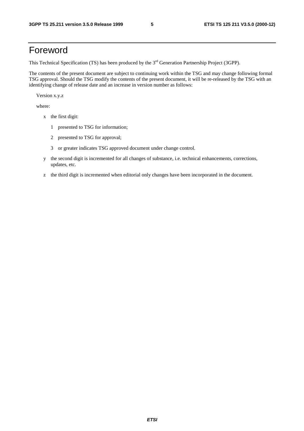# Foreword

This Technical Specification (TS) has been produced by the 3<sup>rd</sup> Generation Partnership Project (3GPP).

The contents of the present document are subject to continuing work within the TSG and may change following formal TSG approval. Should the TSG modify the contents of the present document, it will be re-released by the TSG with an identifying change of release date and an increase in version number as follows:

Version x.y.z

where:

- x the first digit:
	- 1 presented to TSG for information;
	- 2 presented to TSG for approval;
	- 3 or greater indicates TSG approved document under change control.
- y the second digit is incremented for all changes of substance, i.e. technical enhancements, corrections, updates, etc.
- z the third digit is incremented when editorial only changes have been incorporated in the document.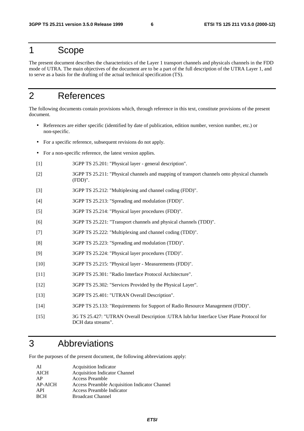# 1 Scope

The present document describes the characteristics of the Layer 1 transport channels and physicals channels in the FDD mode of UTRA. The main objectives of the document are to be a part of the full description of the UTRA Layer 1, and to serve as a basis for the drafting of the actual technical specification (TS).

# 2 References

The following documents contain provisions which, through reference in this text, constitute provisions of the present document.

- References are either specific (identified by date of publication, edition number, version number, etc.) or non-specific.
- For a specific reference, subsequent revisions do not apply.
- For a non-specific reference, the latest version applies.
- [1] 3GPP TS 25.201: "Physical layer general description".
- [2] 3GPP TS 25.211: "Physical channels and mapping of transport channels onto physical channels (FDD)".
- [3] 3GPP TS 25.212: "Multiplexing and channel coding (FDD)".
- [4] 3GPP TS 25.213: "Spreading and modulation (FDD)".
- [5] 3GPP TS 25.214: "Physical layer procedures (FDD)".
- [6] 3GPP TS 25.221: "Transport channels and physical channels (TDD)".
- [7] 3GPP TS 25.222: "Multiplexing and channel coding (TDD)".
- [8] 3GPP TS 25.223: "Spreading and modulation (TDD)".
- [9] 3GPP TS 25.224: "Physical layer procedures (TDD)".
- [10] 3GPP TS 25.215: "Physical layer Measurements (FDD)".
- [11] 3GPP TS 25.301: "Radio Interface Protocol Architecture".
- [12] 3GPP TS 25.302: "Services Provided by the Physical Layer".
- [13] 3GPP TS 25.401: "UTRAN Overall Description".
- [14] 3GPP TS 25.133: "Requirements for Support of Radio Resource Management (FDD)".
- [15] 3G TS 25.427: "UTRAN Overall Description :UTRA Iub/Iur Interface User Plane Protocol for DCH data streams".

# 3 Abbreviations

For the purposes of the present document, the following abbreviations apply:

| ΑI             | <b>Acquisition Indicator</b>                  |
|----------------|-----------------------------------------------|
| <b>AICH</b>    | <b>Acquisition Indicator Channel</b>          |
| AP             | Access Preamble                               |
| <b>AP-AICH</b> | Access Preamble Acquisition Indicator Channel |
| API            | Access Preamble Indicator                     |
| <b>RCH</b>     | <b>Broadcast Channel</b>                      |
|                |                                               |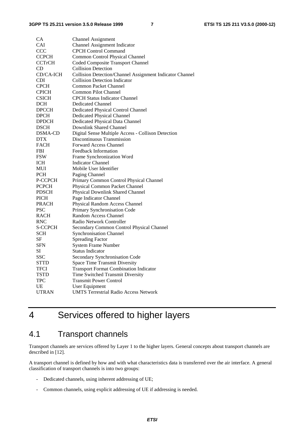| CA             | <b>Channel Assignment</b>                                |
|----------------|----------------------------------------------------------|
| <b>CAI</b>     | <b>Channel Assignment Indicator</b>                      |
| CCC            | <b>CPCH Control Command</b>                              |
| <b>CCPCH</b>   | Common Control Physical Channel                          |
| <b>CCTrCH</b>  | Coded Composite Transport Channel                        |
| CD             | <b>Collision Detection</b>                               |
| CD/CA-ICH      | Collision Detection/Channel Assignment Indicator Channel |
| <b>CDI</b>     | <b>Collision Detection Indicator</b>                     |
| <b>CPCH</b>    | <b>Common Packet Channel</b>                             |
| <b>CPICH</b>   | <b>Common Pilot Channel</b>                              |
| <b>CSICH</b>   | <b>CPCH Status Indicator Channel</b>                     |
| DCH            | Dedicated Channel                                        |
| <b>DPCCH</b>   | Dedicated Physical Control Channel                       |
| <b>DPCH</b>    | Dedicated Physical Channel                               |
| <b>DPDCH</b>   | Dedicated Physical Data Channel                          |
| <b>DSCH</b>    | Downlink Shared Channel                                  |
| DSMA-CD        | Digital Sense Multiple Access - Collison Detection       |
| <b>DTX</b>     | Discontinuous Transmission                               |
| <b>FACH</b>    | <b>Forward Access Channel</b>                            |
| <b>FBI</b>     | Feedback Information                                     |
| <b>FSW</b>     | Frame Synchronization Word                               |
| ICH            | <b>Indicator Channel</b>                                 |
| MUI            | Mobile User Identifier                                   |
| <b>PCH</b>     | Paging Channel                                           |
| P-CCPCH        | Primary Common Control Physical Channel                  |
| <b>PCPCH</b>   | Physical Common Packet Channel                           |
| <b>PDSCH</b>   | Physical Downlink Shared Channel                         |
| <b>PICH</b>    | Page Indicator Channel                                   |
| <b>PRACH</b>   | Physical Random Access Channel                           |
| <b>PSC</b>     | Primary Synchronisation Code                             |
| <b>RACH</b>    | Random Access Channel                                    |
| <b>RNC</b>     | Radio Network Controller                                 |
| <b>S-CCPCH</b> | Secondary Common Control Physical Channel                |
| SCH            | <b>Synchronisation Channel</b>                           |
| SF             | <b>Spreading Factor</b>                                  |
| SFN            | <b>System Frame Number</b>                               |
| SI             | <b>Status Indicator</b>                                  |
| <b>SSC</b>     | Secondary Synchronisation Code                           |
| <b>STTD</b>    | <b>Space Time Transmit Diversity</b>                     |
| TFCI           | <b>Transport Format Combination Indicator</b>            |
| TSTD           | Time Switched Transmit Diversity                         |
| <b>TPC</b>     | <b>Transmit Power Control</b>                            |
| UE             | User Equipment                                           |
| <b>UTRAN</b>   | <b>UMTS Terrestrial Radio Access Network</b>             |
|                |                                                          |

# 4 Services offered to higher layers

# 4.1 Transport channels

Transport channels are services offered by Layer 1 to the higher layers. General concepts about transport channels are described in [12].

A transport channel is defined by how and with what characteristics data is transferred over the air interface. A general classification of transport channels is into two groups:

- Dedicated channels, using inherent addressing of UE;
- Common channels, using explicit addressing of UE if addressing is needed.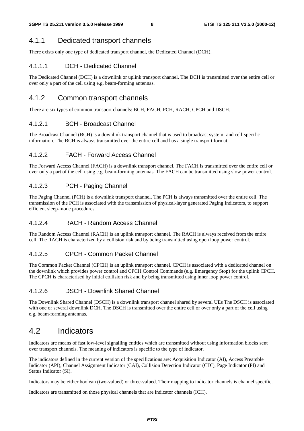### 4.1.1 Dedicated transport channels

There exists only one type of dedicated transport channel, the Dedicated Channel (DCH).

### 4.1.1.1 DCH - Dedicated Channel

The Dedicated Channel (DCH) is a downlink or uplink transport channel. The DCH is transmitted over the entire cell or over only a part of the cell using e.g. beam-forming antennas.

### 4.1.2 Common transport channels

There are six types of common transport channels: BCH, FACH, PCH, RACH, CPCH and DSCH.

#### 4.1.2.1 BCH - Broadcast Channel

The Broadcast Channel (BCH) is a downlink transport channel that is used to broadcast system- and cell-specific information. The BCH is always transmitted over the entire cell and has a single transport format.

#### 4.1.2.2 FACH - Forward Access Channel

The Forward Access Channel (FACH) is a downlink transport channel. The FACH is transmitted over the entire cell or over only a part of the cell using e.g. beam-forming antennas. The FACH can be transmitted using slow power control.

#### 4.1.2.3 PCH - Paging Channel

The Paging Channel (PCH) is a downlink transport channel. The PCH is always transmitted over the entire cell. The transmission of the PCH is associated with the transmission of physical-layer generated Paging Indicators, to support efficient sleep-mode procedures.

#### 4.1.2.4 RACH - Random Access Channel

The Random Access Channel (RACH) is an uplink transport channel. The RACH is always received from the entire cell. The RACH is characterized by a collision risk and by being transmitted using open loop power control.

#### 4.1.2.5 CPCH - Common Packet Channel

The Common Packet Channel (CPCH) is an uplink transport channel. CPCH is associated with a dedicated channel on the downlink which provides power control and CPCH Control Commands (e.g. Emergency Stop) for the uplink CPCH. The CPCH is characterised by initial collision risk and by being transmitted using inner loop power control.

#### 4.1.2.6 DSCH - Downlink Shared Channel

The Downlink Shared Channel (DSCH) is a downlink transport channel shared by several UEs The DSCH is associated with one or several downlink DCH. The DSCH is transmitted over the entire cell or over only a part of the cell using e.g. beam-forming antennas.

### 4.2 Indicators

Indicators are means of fast low-level signalling entities which are transmitted without using information blocks sent over transport channels. The meaning of indicators is specific to the type of indicator.

The indicators defined in the current version of the specifications are: Acquisition Indicator (AI), Access Preamble Indicator (API), Channel Assignment Indicator (CAI), Collision Detection Indicator (CDI), Page Indicator (PI) and Status Indicator (SI).

Indicators may be either boolean (two-valued) or three-valued. Their mapping to indicator channels is channel specific.

Indicators are transmitted on those physical channels that are indicator channels (ICH).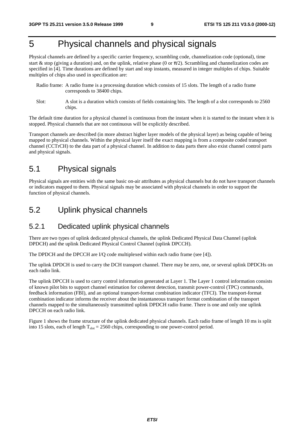# 5 Physical channels and physical signals

Physical channels are defined by a specific carrier frequency, scrambling code, channelization code (optional), time start & stop (giving a duration) and, on the uplink, relative phase (0 or  $\pi/2$ ). Scrambling and channelization codes are specified in [4]. Time durations are defined by start and stop instants, measured in integer multiples of chips. Suitable multiples of chips also used in specification are:

- Radio frame: A radio frame is a processing duration which consists of 15 slots. The length of a radio frame corresponds to 38400 chips.
- Slot: A slot is a duration which consists of fields containing bits. The length of a slot corresponds to 2560 chips.

The default time duration for a physical channel is continuous from the instant when it is started to the instant when it is stopped. Physical channels that are not continuous will be explicitly described.

Transport channels are described (in more abstract higher layer models of the physical layer) as being capable of being mapped to physical channels. Within the physical layer itself the exact mapping is from a composite coded transport channel (CCTrCH) to the data part of a physical channel. In addition to data parts there also exist channel control parts and physical signals.

# 5.1 Physical signals

Physical signals are entities with the same basic on-air attributes as physical channels but do not have transport channels or indicators mapped to them. Physical signals may be associated with physical channels in order to support the function of physical channels.

### 5.2 Uplink physical channels

### 5.2.1 Dedicated uplink physical channels

There are two types of uplink dedicated physical channels, the uplink Dedicated Physical Data Channel (uplink DPDCH) and the uplink Dedicated Physical Control Channel (uplink DPCCH).

The DPDCH and the DPCCH are I/Q code multiplexed within each radio frame (see [4]).

The uplink DPDCH is used to carry the DCH transport channel. There may be zero, one, or several uplink DPDCHs on each radio link.

The uplink DPCCH is used to carry control information generated at Layer 1. The Layer 1 control information consists of known pilot bits to support channel estimation for coherent detection, transmit power-control (TPC) commands, feedback information (FBI), and an optional transport-format combination indicator (TFCI). The transport-format combination indicator informs the receiver about the instantaneous transport format combination of the transport channels mapped to the simultaneously transmitted uplink DPDCH radio frame. There is one and only one uplink DPCCH on each radio link.

Figure 1 shows the frame structure of the uplink dedicated physical channels. Each radio frame of length 10 ms is split into 15 slots, each of length  $T_{slot} = 2560$  chips, corresponding to one power-control period.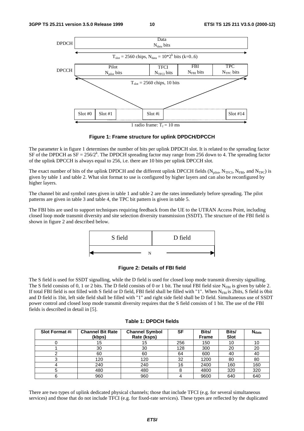

**Figure 1: Frame structure for uplink DPDCH/DPCCH**

The parameter k in figure 1 determines the number of bits per uplink DPDCH slot. It is related to the spreading factor SF of the DPDCH as  $SF = 256/2^k$ . The DPDCH spreading factor may range from 256 down to 4. The spreading factor of the uplink DPCCH is always equal to 256, i.e. there are 10 bits per uplink DPCCH slot.

The exact number of bits of the uplink DPDCH and the different uplink DPCCH fields  $(N_{pilot}$ ,  $N_{TFCl}$ ,  $N_{FBI}$ , and  $N_{TPC}$ ) is given by table 1 and table 2. What slot format to use is configured by higher layers and can also be reconfigured by higher layers.

The channel bit and symbol rates given in table 1 and table 2 are the rates immediately before spreading. The pilot patterns are given in table 3 and table 4, the TPC bit pattern is given in table 5.

The FBI bits are used to support techniques requiring feedback from the UE to the UTRAN Access Point, including closed loop mode transmit diversity and site selection diversity transmission (SSDT). The structure of the FBI field is shown in figure 2 and described below.



#### **Figure 2: Details of FBI field**

The S field is used for SSDT signalling, while the D field is used for closed loop mode transmit diversity signalling. The S field consists of 0, 1 or 2 bits. The D field consists of 0 or 1 bit. The total FBI field size  $N_{FB}$  is given by table 2. If total FBI field is not filled with S field or D field, FBI field shall be filled with "1". When  $N_{FH}$  is 2bits, S field is 0bit and D field is 1bit, left side field shall be filled with "1" and right side field shall be D field. Simultaneous use of SSDT power control and closed loop mode transmit diversity requires that the S field consists of 1 bit. The use of the FBI fields is described in detail in [5].

| Slot Format #i | <b>Channel Bit Rate</b><br>(kbps) | <b>Channel Symbol</b><br>Rate (ksps) | SF  | Bits/<br><b>Frame</b> | Bits/<br><b>Slot</b> | <b>N</b> <sub>data</sub> |
|----------------|-----------------------------------|--------------------------------------|-----|-----------------------|----------------------|--------------------------|
|                | 15                                | 15                                   | 256 | 150                   | 10                   | 10                       |
|                | 30                                | 30                                   | 128 | 300                   | 20                   | 20                       |
|                | 60                                | 60                                   | 64  | 600                   | 40                   | 40                       |
| O              | 120                               | 120                                  | 32  | 1200                  | 80                   | 80                       |
|                | 240                               | 240                                  | 16  | 2400                  | 160                  | 160                      |
| 5              | 480                               | 480                                  | 8   | 4800                  | 320                  | 320                      |
|                | 960                               | 960                                  |     | 9600                  | 640                  | 640                      |

#### **Table 1: DPDCH fields**

There are two types of uplink dedicated physical channels; those that include TFCI (e.g. for several simultaneous services) and those that do not include TFCI (e.g. for fixed-rate services). These types are reflected by the duplicated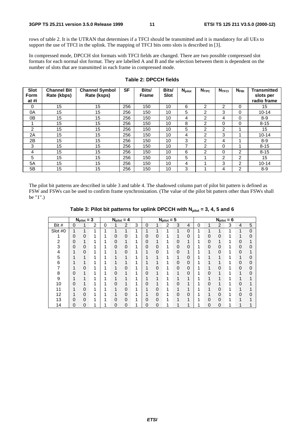rows of table 2. It is the UTRAN that determines if a TFCI should be transmitted and it is mandatory for all UEs to support the use of TFCI in the uplink. The mapping of TFCI bits onto slots is described in [3].

In compressed mode, DPCCH slot formats with TFCI fields are changed. There are two possible compressed slot formats for each normal slot format. They are labelled A and B and the selection between them is dependent on the number of slots that are transmitted in each frame in compressed mode.

| <b>Slot</b><br><b>Form</b><br>at #i | <b>Channel Bit</b><br>Rate (kbps) | <b>Channel Symbol</b><br>Rate (ksps) | <b>SF</b> | Bits/<br><b>Frame</b> | Bits/<br><b>Slot</b> | $N_{\text{pilot}}$ | N <sub>TPC</sub> | N <sub>TFCI</sub> | $N_{FBI}$      | <b>Transmitted</b><br>slots per<br>radio frame |
|-------------------------------------|-----------------------------------|--------------------------------------|-----------|-----------------------|----------------------|--------------------|------------------|-------------------|----------------|------------------------------------------------|
| $\mathbf 0$                         | 15                                | 15                                   | 256       | 150                   | 10                   | 6                  | 2                | $\overline{2}$    | 0              | 15                                             |
| 0A                                  | 15                                | 15                                   | 256       | 150                   | 10                   | 5                  | 2                | 3                 | 0              | $10 - 14$                                      |
| 0B                                  | 15                                | 15                                   | 256       | 150                   | 10                   | 4                  | 2                | 4                 | 0              | $8 - 9$                                        |
|                                     | 15                                | 15                                   | 256       | 150                   | 10                   | 8                  | $\overline{2}$   | 0                 | 0              | $8 - 15$                                       |
| 2                                   | 15                                | 15                                   | 256       | 150                   | 10                   | 5                  | $\overline{2}$   | $\overline{2}$    |                | 15                                             |
| 2A                                  | 15                                | 15                                   | 256       | 150                   | 10                   | 4                  | $\overline{2}$   | 3                 |                | $10 - 14$                                      |
| 2B                                  | 15                                | 15                                   | 256       | 150                   | 10                   | 3                  | $\overline{2}$   | 4                 |                | $8 - 9$                                        |
| 3                                   | 15                                | 15                                   | 256       | 150                   | 10                   | 7                  | $\overline{2}$   | 0                 |                | $8 - 15$                                       |
| 4                                   | 15                                | 15                                   | 256       | 150                   | 10                   | 6                  | 2                | 0                 | $\overline{2}$ | $8 - 15$                                       |
| 5                                   | 15                                | 15                                   | 256       | 150                   | 10                   | 5                  |                  | 2                 | $\overline{2}$ | 15                                             |
| 5A                                  | 15                                | 15                                   | 256       | 150                   | 10                   | 4                  |                  | 3                 | 2              | $10 - 14$                                      |
| 5B                                  | 15                                | 15                                   | 256       | 150                   | 10                   | 3                  |                  | 4                 | $\overline{2}$ | $8 - 9$                                        |

#### **Table 2: DPCCH fields**

The pilot bit patterns are described in table 3 and table 4. The shadowed column part of pilot bit pattern is defined as FSW and FSWs can be used to confirm frame synchronization. (The value of the pilot bit pattern other than FSWs shall be "1".)

|                |   | $N_{pilot} = 3$ |                | $N_{pilot} = 4$ |   |          | $N_{pilot} = 5$ |             |                |   |             |             |   | $N_{pilot} = 6$ |                |   |          |   |
|----------------|---|-----------------|----------------|-----------------|---|----------|-----------------|-------------|----------------|---|-------------|-------------|---|-----------------|----------------|---|----------|---|
| Bit #          | 0 |                 | $\overline{2}$ | 0               |   | 2        | 3               | $\mathbf 0$ |                | 2 | 3           | 4           | 0 | 1               | $\overline{2}$ | 3 | 4        | 5 |
| Slot #0        |   | 1               | 1              | ٠               |   | 1        | 4               | 1           |                | и | 1           | $\mathbf 0$ | 4 | 4               | и              | 4 |          | 0 |
|                | 0 | 0               |                |                 |   | 0        |                 | 0           | 0              |   |             | 0           |   | 0               | 0              |   |          |   |
| $\overline{2}$ | 0 |                 |                |                 | 0 |          |                 | 0           |                |   | 0           | 1           |   | 0               |                |   | 0        |   |
| 3              | 0 | $\mathbf 0$     |                |                 | 0 | 0        |                 | 0           | $\overline{0}$ |   | $\mathbf 0$ | $\mathbf 0$ |   | $\Omega$        | 0              | 1 | 0        | ი |
| 4              |   | $\Omega$        | и              |                 |   | 0        |                 | 1           | $\Omega$       |   | $\Omega$    | 1           |   | 1               | 0              | 1 | $\Omega$ |   |
| 5              |   | 1               |                |                 |   | 1        |                 |             |                |   |             | 0           |   |                 |                |   |          |   |
| 6              |   |                 |                |                 |   |          |                 |             |                |   | 0           | $\mathbf 0$ |   |                 |                |   |          |   |
|                |   | 0               |                |                 |   | 0        |                 |             | 0              |   | 0           | $\mathbf 0$ |   |                 | 0              |   | 0        | 0 |
| 8              | ი | 1               |                |                 |   | 1        |                 | 0           | 1              |   |             | $\Omega$    |   | 0               | 1              |   |          |   |
| 9              |   |                 |                |                 |   |          |                 |             |                |   |             | 1           |   |                 |                |   |          |   |
| 10             |   | 1               |                |                 |   |          |                 | 0           |                |   | $\Omega$    | 1           |   | 0               |                |   |          |   |
| 11             |   | 0               |                |                 |   | 0        |                 |             | 0              |   |             | 4           |   |                 | 0              |   |          |   |
| 12             |   | 0               | и              |                 |   | 0        |                 |             | 0              |   | 0           | $\mathbf 0$ |   |                 | 0              | 1 | 0        | 0 |
| 13             | ი | $\Omega$        |                |                 | 0 | $\Omega$ |                 | 0           | 0              |   |             | 1           |   | 0               | 0              | 1 |          |   |
| 14             | 0 | 0               |                |                 | 0 | 0        |                 | 0           | 0              |   |             |             |   | 0               | 0              |   |          |   |

Table 3: Pilot bit patterns for uplink DPCCH with N<sub>pilot</sub> = 3, 4, 5 and 6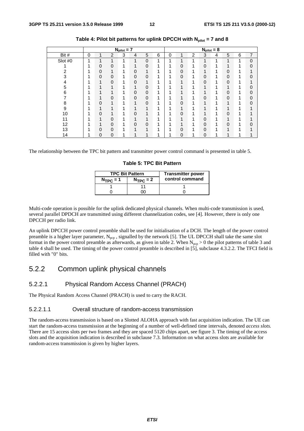|         |   |   |                | $N_{pilot} = 7$ |   |                  |   |   |             |                |             | $N_{pilot} = 8$ |                         |   |                |
|---------|---|---|----------------|-----------------|---|------------------|---|---|-------------|----------------|-------------|-----------------|-------------------------|---|----------------|
| Bit #   | 0 | 1 | $\overline{2}$ | 3               | 4 | 5                | 6 | 0 | 1           | $\overline{c}$ | 3           | 4               | 5                       | 6 | $\overline{7}$ |
| Slot #0 | 4 | 4 | 4              | 1               | 1 | $\overline{0}$   | 4 | 1 | 1           | 1              | 1           | 1               | 1                       | 4 | $\Omega$       |
|         | 1 | 0 | $\overline{0}$ | 1               | 1 | 0                | 4 | 4 | 0           | 4              | $\mathbf 0$ | 4               | 1                       |   |                |
| 2       |   | 0 | 1              | 1               | 0 | 1                | ◢ | ◢ | 0           | 1              | 4           | 4               | 0                       | 4 |                |
| 3       |   | 0 | $\overline{0}$ | 1               | 0 | 0                | и | 4 | 0           | 1              | 0           | 4               | 0                       | 4 |                |
| 4       |   |   | 0              | 1               | 0 | 1                | и | ◢ | 1           | 4              | 0           |                 | 0                       |   |                |
| 5       |   |   | 4              | 1               | 1 | 0                | и | 4 | 4           |                | и           |                 | 1                       |   |                |
| 6       |   |   | 1              | 1               | 0 | $\pmb{0}$        | и |   | 1           | 1              | 1           |                 | 0                       |   | 0              |
|         |   |   | $\Omega$       | 1               | 0 | $\boldsymbol{0}$ | и | л | 1           | и              | 0           | л               | 0                       |   |                |
| 8       |   | 0 | 1              | 1               | 1 | $\overline{0}$   | и | и | 0           | 4              | и           |                 | 1                       |   |                |
| 9       |   |   | 1              | 1               | 1 | 1                | ◢ |   | 1           | 1              | A           |                 | 1                       |   |                |
| 10      |   | 0 | 1              | 1               | 0 | 1                | и | и | 0           |                | и           |                 | 0                       |   |                |
| 11      |   |   | 0              | 1               | ◢ | 4                | А |   | 1           | 4              | 0           |                 | $\overline{\mathbf{A}}$ |   |                |
| 12      |   |   | 0              | 1               | 0 | 0                |   |   | 4           |                | $\mathbf 0$ |                 | 0                       |   |                |
| 13      |   | 0 | $\Omega$       | 1               | 1 | 1                |   | 1 | 0           | 1              | $\Omega$    |                 | 1                       |   |                |
| 14      |   | 0 | $\overline{0}$ | 4               | и | 4                |   |   | $\mathbf 0$ |                | $\mathbf 0$ |                 | 4                       |   |                |

Table 4: Pilot bit patterns for uplink DPCCH with N<sub>pilot</sub> = 7 and 8

The relationship between the TPC bit pattern and transmitter power control command is presented in table 5.

**Table 5: TPC Bit Pattern**

|               | <b>TPC Bit Pattern</b> | <b>Transmitter power</b> |
|---------------|------------------------|--------------------------|
| $N_{TPC} = 1$ | $N_{TPC} = 2$          | control command          |
|               |                        |                          |
|               |                        |                          |

Multi-code operation is possible for the uplink dedicated physical channels. When multi-code transmission is used, several parallel DPDCH are transmitted using different channelization codes, see [4]. However, there is only one DPCCH per radio link.

An uplink DPCCH power control preamble shall be used for initialisation of a DCH. The length of the power control preamble is a higher layer parameter,  $N_{\text{pop}}$ , signalled by the network [5]. The UL DPCCH shall take the same slot format in the power control preamble as afterwards, as given in table 2. When  $N_{\text{pcp}} > 0$  the pilot patterns of table 3 and table 4 shall be used. The timing of the power control preamble is described in [5], subclause 4.3.2.2. The TFCI field is filled with "0" bits.

### 5.2.2 Common uplink physical channels

#### 5.2.2.1 Physical Random Access Channel (PRACH)

The Physical Random Access Channel (PRACH) is used to carry the RACH.

#### 5.2.2.1.1 Overall structure of random-access transmission

The random-access transmission is based on a Slotted ALOHA approach with fast acquisition indication. The UE can start the random-access transmission at the beginning of a number of well-defined time intervals, denoted *access slots.* There are 15 access slots per two frames and they are spaced 5120 chips apart, see figure 3. The timing of the access slots and the acquisition indication is described in subclause 7.3. Information on what access slots are available for random-access transmission is given by higher layers.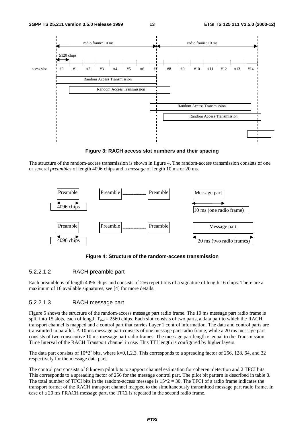

**Figure 3: RACH access slot numbers and their spacing**

The structure of the random-access transmission is shown in figure 4. The random-access transmission consists of one or several *preambles* of length 4096 chips and a *message* of length 10 ms or 20 ms.



**Figure 4: Structure of the random-access transmission**

#### 5.2.2.1.2 RACH preamble part

Each preamble is of length 4096 chips and consists of 256 repetitions of a signature of length 16 chips. There are a maximum of 16 available signatures, see [4] for more details.

#### 5.2.2.1.3 RACH message part

Figure 5 shows the structure of the random-access message part radio frame. The 10 ms message part radio frame is split into 15 slots, each of length  $T_{slot} = 2560$  chips. Each slot consists of two parts, a data part to which the RACH transport channel is mapped and a control part that carries Layer 1 control information. The data and control parts are transmitted in parallel. A 10 ms message part consists of one message part radio frame, while a 20 ms message part consists of two consecutive 10 ms message part radio frames. The message part length is equal to the Transmission Time Interval of the RACH Transport channel in use. This TTI length is configured by higher layers.

The data part consists of  $10*2^k$  bits, where k=0,1,2,3. This corresponds to a spreading factor of 256, 128, 64, and 32 respectively for the message data part.

The control part consists of 8 known pilot bits to support channel estimation for coherent detection and 2 TFCI bits. This corresponds to a spreading factor of 256 for the message control part. The pilot bit pattern is described in table 8. The total number of TFCI bits in the random-access message is  $15*2 = 30$ . The TFCI of a radio frame indicates the transport format of the RACH transport channel mapped to the simultaneously transmitted message part radio frame. In case of a 20 ms PRACH message part, the TFCI is repeated in the second radio frame.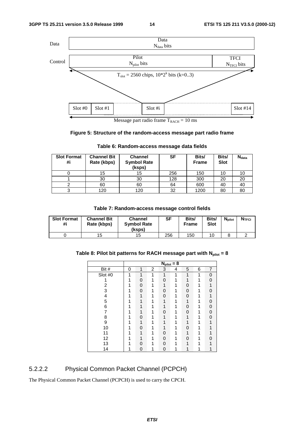

Message part radio frame  $T_{RACH} = 10$  ms

### **Figure 5: Structure of the random-access message part radio frame**

| <b>Slot Format</b><br>#i | <b>Channel Bit</b><br>Rate (kbps) | <b>Channel</b><br><b>Symbol Rate</b><br>(ksps) | SF  | Bits/<br><b>Frame</b> | Bits/<br><b>Slot</b> | $N_{data}$ |
|--------------------------|-----------------------------------|------------------------------------------------|-----|-----------------------|----------------------|------------|
|                          | 15                                | 15                                             | 256 | 150                   | 10                   |            |
|                          | 30                                | 30                                             | 128 | 300                   | 20                   | 20         |
|                          | 60                                | 60                                             | 64  | 600                   | 40                   | 40         |
| ◠                        | 120                               | 120                                            | 32  | 1200                  | 80                   | 80         |

#### **Table 6: Random-access message data fields**

#### **Table 7: Random-access message control fields**

| <b>Slot Format</b><br>#i | <b>Channel Bit</b><br>Rate (kbps) | <b>Channel</b><br><b>Symbol Rate</b><br>(ksps) | SF  | Bits/<br><b>Frame</b> | Bits/<br><b>Slot</b> | <b>N</b> pilot | <b>NTFCI</b> |
|--------------------------|-----------------------------------|------------------------------------------------|-----|-----------------------|----------------------|----------------|--------------|
|                          | 15                                | 15                                             | 256 | 150                   |                      |                |              |

### Table 8: Pilot bit patterns for RACH message part with  $N_{pilot} = 8$

|         |   |   |                | $N_{pilot} = 8$ |   |   |   |                |
|---------|---|---|----------------|-----------------|---|---|---|----------------|
| Bit #   | 0 | 1 | $\overline{2}$ | 3               | 4 | 5 | 6 | $\overline{7}$ |
| Slot #0 | 1 | 1 | 1              | 1               | 1 | 1 | 1 | 0              |
|         |   | 0 |                | 0               |   |   |   | 0              |
| 2       |   | 0 |                |                 |   | 0 |   |                |
| 3       |   | 0 |                | 0               |   | 0 |   | O              |
| 4       |   |   |                | O               |   | 0 |   |                |
| 5       |   |   |                |                 |   |   |   | 0              |
| 6       |   |   |                |                 |   | 0 |   | 0              |
|         |   |   |                | n               |   | 0 |   | 0              |
| 8       |   | 0 |                |                 |   |   |   | 0              |
| 9       |   | 1 |                |                 |   |   |   |                |
| 10      |   | 0 |                |                 |   | 0 |   |                |
| 11      |   |   |                | O               |   |   |   |                |
| 12      |   |   |                | 0               |   | 0 |   |                |
| 13      |   | ი |                | ი               |   |   |   |                |
| 14      |   | 0 |                | ი               |   |   |   |                |

### 5.2.2.2 Physical Common Packet Channel (PCPCH)

The Physical Common Packet Channel (PCPCH) is used to carry the CPCH.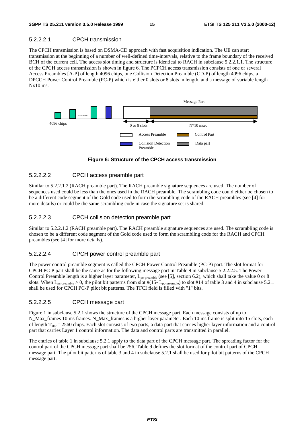#### 5.2.2.2.1 CPCH transmission

The CPCH transmission is based on DSMA-CD approach with fast acquisition indication. The UE can start transmission at the beginning of a number of well-defined time-intervals, relative to the frame boundary of the received BCH of the current cell. The access slot timing and structure is identical to RACH in subclause 5.2.2.1.1. The structure of the CPCH access transmission is shown in figure 6. The PCPCH access transmission consists of one or several Access Preambles [A-P] of length 4096 chips, one Collision Detection Preamble (CD-P) of length 4096 chips, a DPCCH Power Control Preamble (PC-P) which is either 0 slots or 8 slots in length, and a message of variable length  $Nx10$  ms.



**Figure 6: Structure of the CPCH access transmission**

#### 5.2.2.2.2 CPCH access preamble part

Similar to 5.2.2.1.2 (RACH preamble part). The RACH preamble signature sequences are used. The number of sequences used could be less than the ones used in the RACH preamble. The scrambling code could either be chosen to be a different code segment of the Gold code used to form the scrambling code of the RACH preambles (see [4] for more details) or could be the same scrambling code in case the signature set is shared.

#### 5.2.2.2.3 CPCH collision detection preamble part

Similar to 5.2.2.1.2 (RACH preamble part). The RACH preamble signature sequences are used. The scrambling code is chosen to be a different code segment of the Gold code used to form the scrambling code for the RACH and CPCH preambles (see [4] for more details).

#### 5.2.2.2.4 CPCH power control preamble part

The power control preamble segment is called the CPCH Power Control Preamble (PC-P) part. The slot format for CPCH PC-P part shall be the same as for the following message part in Table 9 in subclause 5.2.2.2.5. The Power Control Preamble length is a higher layer parameter,  $L_{pc\text{-preamble}}$  (see [5], section 6.2), which shall take the value 0 or 8 slots. When  $L_{pc\text{-preamble}} > 0$ , the pilot bit patterns from slot #(15-  $L_{pc\text{-preamble}}$ ) to slot #14 of table 3 and 4 in subclause 5.2.1 shall be used for CPCH PC-P pilot bit patterns. The TFCI field is filled with "1" bits.

#### 5.2.2.2.5 CPCH message part

Figure 1 in subclause 5.2.1 shows the structure of the CPCH message part. Each message consists of up to N\_Max\_frames 10 ms frames. N\_Max\_frames is a higher layer parameter. Each 10 ms frame is split into 15 slots, each of length  $T_{slot} = 2560$  chips. Each slot consists of two parts, a data part that carries higher layer information and a control part that carries Layer 1 control information. The data and control parts are transmitted in parallel.

The entries of table 1 in subclause 5.2.1 apply to the data part of the CPCH message part. The spreading factor for the control part of the CPCH message part shall be 256. Table 9 defines the slot format of the control part of CPCH message part. The pilot bit patterns of table 3 and 4 in subclause 5.2.1 shall be used for pilot bit patterns of the CPCH message part.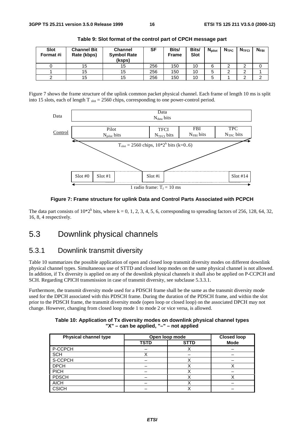| <b>Slot</b><br>Format #i | <b>Channel Bit</b><br>Rate (kbps) | <b>Channel</b><br><b>Symbol Rate</b><br>(ksps) | SF  | Bits/<br><b>Frame</b> | Bits/<br><b>Slot</b> | $N_{\rm pilot}$ | N <sub>TPC</sub> | N <sub>TFCI</sub> | $N_{FBI}$ |
|--------------------------|-----------------------------------|------------------------------------------------|-----|-----------------------|----------------------|-----------------|------------------|-------------------|-----------|
|                          | 15                                | 15                                             | 256 | 150                   | 10                   |                 |                  |                   |           |
|                          | 15                                | 15                                             | 256 | 150                   | 10                   |                 |                  |                   |           |
|                          | 15                                | 15                                             | 256 | 150                   | 10                   |                 |                  |                   |           |

**Table 9: Slot format of the control part of CPCH message part**

Figure 7 shows the frame structure of the uplink common packet physical channel. Each frame of length 10 ms is split into 15 slots, each of length  $T_{slot} = 2560$  chips, corresponding to one power-control period.



**Figure 7: Frame structure for uplink Data and Control Parts Associated with PCPCH**

The data part consists of  $10*2^k$  bits, where k = 0, 1, 2, 3, 4, 5, 6, corresponding to spreading factors of 256, 128, 64, 32, 16, 8, 4 respectively.

### 5.3 Downlink physical channels

### 5.3.1 Downlink transmit diversity

Table 10 summarizes the possible application of open and closed loop transmit diversity modes on different downlink physical channel types. Simultaneous use of STTD and closed loop modes on the same physical channel is not allowed. In addition, if Tx diversity is applied on any of the downlink physical channels it shall also be applied on P-CCPCH and SCH. Regarding CPICH transmission in case of transmit diversity, see subclause 5.3.3.1.

Furthermore, the transmit diversity mode used for a PDSCH frame shall be the same as the transmit diversity mode used for the DPCH associated with this PDSCH frame. During the duration of the PDSCH frame, and within the slot prior to the PDSCH frame, the transmit diversity mode (open loop or closed loop) on the associated DPCH may not change. However, changing from closed loop mode 1 to mode 2 or vice versa, is allowed.

| Table 10: Application of Tx diversity modes on downlink physical channel types |
|--------------------------------------------------------------------------------|
| "X" – can be applied, "–" – not applied                                        |

| <b>Physical channel type</b> | Open loop mode |             | <b>Closed loop</b> |
|------------------------------|----------------|-------------|--------------------|
|                              | <b>TSTD</b>    | <b>STTD</b> | <b>Mode</b>        |
| P-CCPCH                      |                |             |                    |
| <b>SCH</b>                   |                |             |                    |
| S-CCPCH                      |                |             |                    |
| <b>DPCH</b>                  |                |             |                    |
| <b>PICH</b>                  |                |             |                    |
| <b>PDSCH</b>                 |                |             |                    |
| <b>AICH</b>                  |                |             |                    |
| <b>CSICH</b>                 |                |             |                    |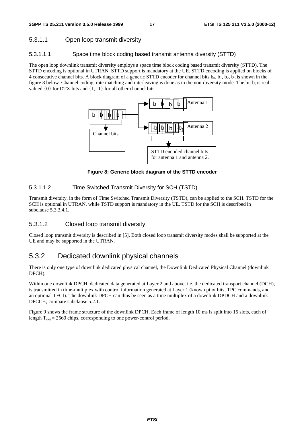#### 5.3.1.1 Open loop transmit diversity

#### 5.3.1.1.1 Space time block coding based transmit antenna diversity (STTD)

The open loop downlink transmit diversity employs a space time block coding based transmit diversity (STTD). The STTD encoding is optional in UTRAN. STTD support is mandatory at the UE. STTD encoding is applied on blocks of 4 consecutive channel bits. A block diagram of a generic STTD encoder for channel bits  $b_0$ ,  $b_1$ ,  $b_2$ ,  $b_3$  is shown in the figure 8 below. Channel coding, rate matching and interleaving is done as in the non-diversity mode. The bit  $b_i$  is real valued  $\{0\}$  for DTX bits and  $\{1, -1\}$  for all other channel bits.



**Figure 8: Generic block diagram of the STTD encoder**

#### 5.3.1.1.2 Time Switched Transmit Diversity for SCH (TSTD)

Transmit diversity, in the form of Time Switched Transmit Diversity (TSTD), can be applied to the SCH. TSTD for the SCH is optional in UTRAN, while TSTD support is mandatory in the UE. TSTD for the SCH is described in subclause 5.3.3.4.1.

#### 5.3.1.2 Closed loop transmit diversity

Closed loop transmit diversity is described in [5]. Both closed loop transmit diversity modes shall be supported at the UE and may be supported in the UTRAN.

### 5.3.2 Dedicated downlink physical channels

There is only one type of downlink dedicated physical channel, the Downlink Dedicated Physical Channel (downlink DPCH).

Within one downlink DPCH, dedicated data generated at Layer 2 and above, i.e. the dedicated transport channel (DCH), is transmitted in time-multiplex with control information generated at Layer 1 (known pilot bits, TPC commands, and an optional TFCI). The downlink DPCH can thus be seen as a time multiplex of a downlink DPDCH and a downlink DPCCH, compare subclause 5.2.1.

Figure 9 shows the frame structure of the downlink DPCH. Each frame of length 10 ms is split into 15 slots, each of length  $T_{slot} = 2560$  chips, corresponding to one power-control period.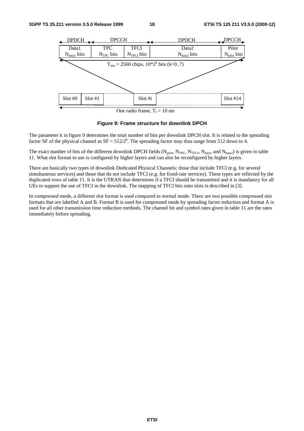

One radio frame,  $T_f = 10$  ms

#### **Figure 9: Frame structure for downlink DPCH**

The parameter k in figure 9 determines the total number of bits per downlink DPCH slot. It is related to the spreading factor SF of the physical channel as  $SF = 512/2^k$ . The spreading factor may thus range from 512 down to 4.

The exact number of bits of the different downlink DPCH fields ( $N_{pilot}$ ,  $N_{TPC}$ ,  $N_{TFC}$ ,  $N_{data1}$  and  $N_{data2}$ ) is given in table 11. What slot format to use is configured by higher layers and can also be reconfigured by higher layers.

There are basically two types of downlink Dedicated Physical Channels; those that include TFCI (e.g. for several simultaneous services) and those that do not include TFCI (e.g. for fixed-rate services). These types are reflected by the duplicated rows of table 11. It is the UTRAN that determines if a TFCI should be transmitted and it is mandatory for all UEs to support the use of TFCI in the downlink. The mapping of TFCI bits onto slots is described in [3].

In compressed mode, a different slot format is used compared to normal mode. There are two possible compressed slot formats that are labelled A and B. Format B is used for compressed mode by spreading factor reduction and format A is used for all other transmission time reduction methods. The channel bit and symbol rates given in table 11 are the rates immediately before spreading.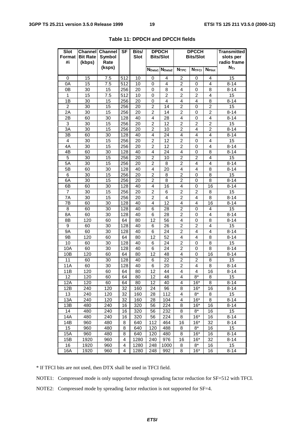| <b>Slot</b>    |                 | <b>Channell Channel</b> | <b>SF</b> | Bits/       |                    | <b>DPDCH</b>       |                                  | <b>DPCCH</b>        |                           | <b>Transmitted</b> |
|----------------|-----------------|-------------------------|-----------|-------------|--------------------|--------------------|----------------------------------|---------------------|---------------------------|--------------------|
| <b>Format</b>  | <b>Bit Rate</b> | Symbol                  |           | <b>Slot</b> |                    | <b>Bits/Slot</b>   |                                  | <b>Bits/Slot</b>    |                           | slots per          |
| #i             | (kbps)          | Rate                    |           |             |                    |                    |                                  |                     |                           | radio frame        |
|                |                 | (ksps)                  |           |             | N <sub>Data1</sub> | N <sub>Data2</sub> | N <sub>TPC</sub>                 | N <sub>TFCI</sub>   | <b>N</b> <sub>Pilot</sub> | $N_{\text{Tr}}$    |
| 0              | 15              | 7.5                     | 512       | 10          | 0                  | 4                  | 2                                | 0                   | 4                         | 15                 |
| 0A             | 15              | 7.5                     | 512       | 10          | 0                  | 4                  | 2                                | 0                   | $\overline{4}$            | $8 - 14$           |
| 0 <sub>B</sub> | 30              | 15                      | 256       | 20          | 0                  | 8                  | 4                                | 0                   | 8                         | $8 - 14$           |
| 1              | 15              | 7.5                     | 512       | 10          | 0                  | $\overline{c}$     | $\overline{c}$                   | $\overline{2}$      | 4                         | 15                 |
| 1B             | 30              | 15                      | 256       | 20          | 0                  | 4                  | 4                                | 4                   | 8                         | 8-14               |
| 2              | 30              | 15                      | 256       | 20          | 2                  | 14                 | $\overline{2}$                   | 0                   | $\overline{2}$            | 15                 |
| 2A             | 30              | 15                      | 256       | 20          | $\overline{2}$     | 14                 | $\overline{2}$                   | $\mathbf 0$         | $\overline{2}$            | $8 - 14$           |
| 2B             | 60              | 30                      | 128       | 40          | $\overline{4}$     | 28                 | $\overline{4}$                   | 0                   | 4                         | $8 - 14$           |
| 3              | 30              | 15                      | 256       | 20          | 2                  | 12                 | 2                                | 2                   | 2                         | 15                 |
| 3A             | 30              | 15                      | 256       | 20          | $\overline{c}$     | 10                 | 2                                | 4                   | $\overline{2}$            | $8 - 14$           |
| 3B             | 60              | 30                      | 128       | 40          | 4                  | 24                 | 4                                | 4                   | 4                         | 8-14               |
| 4              | 30              | 15                      | 256       | 20          | 2                  | 12                 | $\overline{2}$                   | $\mathbf 0$         | $\overline{4}$            | 15                 |
| 4A             | 30              | 15                      | 256       | 20          | $\overline{2}$     | 12                 | $\overline{2}$                   | $\mathbf 0$         | $\overline{4}$            | $8 - 14$           |
| 4B             | 60              | 30                      | 128       | 40          | $\overline{4}$     | 24                 | $\overline{4}$                   | $\mathbf 0$         | 8                         | $8 - 14$           |
| 5              | 30              | 15                      | 256       | 20          | $\overline{2}$     | 10                 | 2                                | 2                   | $\overline{4}$            | 15                 |
| 5A             | 30              | 15                      | 256       | 20          | 2                  | 8                  | 2                                | 4                   | 4                         | $8 - 14$           |
| 5B             | 60              | 30                      | 128       | 40          | 4                  | 20                 | 4                                | 4                   | 8                         | $8 - 14$           |
| 6              | 30              | 15                      | 256       | 20          | $\overline{2}$     | 8                  | $\overline{2}$                   | 0                   | 8                         | 15                 |
| 6A             | 30              | 15                      | 256       | 20          | $\overline{2}$     | 8                  | 2                                | 0                   | 8                         | $8 - 14$           |
| 6B             | 60              | 30                      | 128       | 40          | $\overline{4}$     | 16                 | $\overline{4}$                   | 0                   | 16                        | $8 - 14$           |
| 7              | 30              | 15                      | 256       | 20          | 2                  | 6                  | $\overline{2}$                   | $\overline{2}$      | 8                         | 15                 |
| 7Α             | 30              | 15                      | 256       | 20          | 2                  | 4                  | 2                                | 4                   | 8                         | $8 - 14$           |
| 7B             | 60              | 30                      | 128       | 40          | 4                  | 12                 | 4                                | 4                   | 16                        | $8 - 14$           |
| 8              | 60              | 30                      | 128       | 40          | 6                  | 28                 | $\overline{2}$                   | 0                   | 4                         | 15                 |
| 8A             | 60              | 30                      | 128       | 40          | 6                  | 28                 | 2                                | 0                   | 4                         | $8 - 14$           |
| 8B             | 120             | 60                      | 64        | 80          | 12                 | 56                 | 4                                | 0                   | 8                         | $8 - 14$           |
| 9              | 60              | 30                      | 128       | 40          | 6                  | 26                 | $\overline{2}$                   | $\overline{2}$      | $\overline{\mathbf{4}}$   | 15                 |
| <b>9A</b>      | 60              | 30                      | 128       | 40          | 6                  | 24                 | 2                                | 4                   | 4                         | $8 - 14$           |
| 9B             | 120             | 60                      | 64        | 80          | 12                 | 52                 | 4                                | 4                   | 8                         | 8-14               |
| 10             | 60              | 30                      | 128       | 40          | 6                  | 24                 | 2                                | 0                   | 8                         | 15                 |
| 10A            | 60              | 30                      | 128       | 40          | 6                  | 24                 | $\overline{2}$                   | 0                   | 8                         | $8 - 14$           |
| 10B<br>11      | 120<br>60       | 60<br>30                | 64<br>128 | 80<br>40    | 12<br>6            | 48<br>22           | $\overline{4}$<br>$\overline{2}$ | 0<br>$\overline{2}$ | 16<br>8                   | $8 - 14$<br>15     |
| 11A            | 60              | 30                      | 128       | 40          | 6                  | 20                 | $\overline{2}$                   | 4                   | 8                         | $8 - 14$           |
| 11B            | 120             | 60                      | 64        | 80          | 12                 | 44                 | 4                                | 4                   | 16                        | $8 - 14$           |
| 12             | 120             | 60                      | 64        | 80          | 12                 | 48                 | 4                                | 8*                  | 8                         | 15                 |
| 12A            | 120             | 60                      | 64        | 80          | 12                 | 40                 | 4                                | $16*$               | 8                         | $8 - 14$           |
| 12B            | 240             | 120                     | 32        | 160         | 24                 | 96                 | 8                                | $16*$               | 16                        | $8 - 14$           |
| 13             | 240             | 120                     | 32        | 160         | 28                 | 112                | 4                                | $8*$                | 8                         | 15                 |
| 13A            | 240             | 120                     | 32        | 160         | 28                 | 104                | 4                                | $16*$               | 8                         | $8 - 14$           |
| 13B            | 480             | 240                     | 16        | 320         | 56                 | 224                | 8                                | $16*$               | 16                        | $8 - 14$           |
| 14             | 480             | 240                     | 16        | 320         | 56                 | 232                | 8                                | $8*$                | 16                        | 15                 |
| 14A            | 480             | 240                     | 16        | 320         | 56                 | 224                | 8                                | $16*$               | 16                        | $8 - 14$           |
| 14B            | 960             | 480                     | 8         | 640         | 112                | 464                | 16                               | $16*$               | 32                        | $8 - 14$           |
| 15             | 960             | 480                     | 8         | 640         | 120                | 488                | 8                                | $8*$                | 16                        | 15                 |
| 15A            | 960             | 480                     | 8         | 640         | 120                | 480                | 8                                | $16*$               | 16                        | $8 - 14$           |
| 15B            | 1920            | 960                     | 4         | 1280        | 240                | 976                | 16                               | $16*$               | 32                        | $8 - 14$           |
| 16             | 1920            | 960                     | 4         | 1280        | 248                | 1000               | 8                                | $8*$                | 16                        | 15                 |
| 16A            | 1920            | 960                     | 4         | 1280        | 248                | 992                | 8                                | $16*$               | 16                        | $8 - 14$           |

#### **Table 11: DPDCH and DPCCH fields**

\* If TFCI bits are not used, then DTX shall be used in TFCI field.

NOTE1: Compressed mode is only supported through spreading factor reduction for SF=512 with TFCI.

NOTE2: Compressed mode by spreading factor reduction is not supported for SF=4.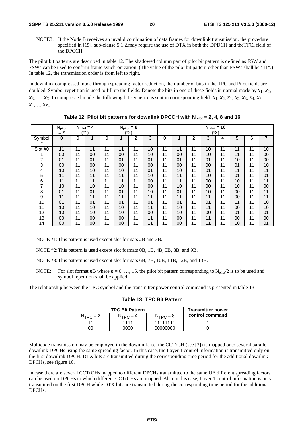NOTE3: If the Node B receives an invalid combination of data frames for downlink transmission, the procedure specified in [15], sub-clause 5.1.2,may require the use of DTX in both the DPDCH and theTFCI field of the DPCCH.

The pilot bit patterns are described in table 12. The shadowed column part of pilot bit pattern is defined as FSW and FSWs can be used to confirm frame synchronization. (The value of the pilot bit pattern other than FSWs shall be "11".) In table 12, the transmission order is from left to right.

In downlink compressed mode through spreading factor reduction, the number of bits in the TPC and Pilot fields are doubled. Symbol repetition is used to fill up the fields. Denote the bits in one of these fields in normal mode by  $x_1, x_2$ ,  $x_3, \ldots, x_x$ . In compressed mode the following bit sequence is sent in corresponding field:  $x_1, x_2, x_1, x_2, x_3, x_4, x_3$ , *x*4,…, *xX,*.

|         | <b>N</b> pilot |    | $N_{\text{pilot}} = 4$ |    | $N_{\text{pilot}} = 8$ |      |                |    |                |    |    | $N_{pilot} = 16$ |                |    |                |
|---------|----------------|----|------------------------|----|------------------------|------|----------------|----|----------------|----|----|------------------|----------------|----|----------------|
|         | $= 2$          |    | (*1)                   |    |                        | (*2) |                |    |                |    |    | (*3)             |                |    |                |
| Symbol  | $\mathbf 0$    | 0  |                        | 0  |                        | 2    | 3              | 0  |                | 2  | 3  | 4                | 5              | 6  | $\overline{7}$ |
| #       |                |    |                        |    |                        |      |                |    |                |    |    |                  |                |    |                |
| Slot #0 | 11             | 11 | 11                     | 11 | 11                     | 11   | 10             | 11 | 11             | 11 | 10 | 11               | 11             | 11 | 10             |
|         | 00             | 11 | 00                     | 11 | 00                     | 11   | 10             | 11 | 00             | 11 | 10 | 11               | 11             | 11 | 00             |
| 2       | 01             | 11 | 0 <sub>1</sub>         | 11 | 01                     | 11   | 0 <sub>1</sub> | 11 | 0 <sub>1</sub> | 11 | 01 | 11               | 10             | 11 | 00             |
| 3       | 00             | 11 | 00                     | 11 | 00                     | 11   | 00             | 11 | 00             | 11 | 00 | 11               | 0 <sub>1</sub> | 11 | 10             |
| 4       | 10             | 11 | 10                     | 11 | 10                     | 11   | 01             | 11 | 10             | 11 | 01 | 11               | 11             | 11 | 11             |
| 5       | 11             | 11 | 11                     | 11 | 11                     | 11   | 10             | 11 | 11             | 11 | 10 | 11               | 0 <sub>1</sub> | 11 | 01             |
| 6       | 11             | 11 | 11                     | 11 | 11                     | 11   | 00             | 11 | 11             | 11 | 00 | 11               | 10             | 11 | 11             |
| 7       | 10             | 11 | 10                     | 11 | 10                     | 11   | 00             | 11 | 10             | 11 | 00 | 11               | 10             | 11 | 00             |
| 8       | 01             | 11 | 01                     | 11 | 01                     | 11   | 10             | 11 | 0 <sub>1</sub> | 11 | 10 | 11               | 00             | 11 | 11             |
| 9       | 11             | 11 | 11                     | 11 | 11                     | 11   | 11             | 11 | 11             | 11 | 11 | 11               | 00             | 11 | 11             |
| 10      | 0 <sub>1</sub> | 11 | 0 <sub>1</sub>         | 11 | 01                     | 11   | 0 <sub>1</sub> | 11 | 0 <sub>1</sub> | 11 | 01 | 11               | 11             | 11 | 10             |
| 11      | 10             | 11 | 10                     | 11 | 10                     | 11   | 11             | 11 | 10             | 11 | 11 | 11               | 00             | 11 | 10             |
| 12      | 10             | 11 | 10                     | 11 | 10                     | 11   | 00             | 11 | 10             | 11 | 00 | 11               | 01             | 11 | 01             |
| 13      | 00             | 11 | 00                     | 11 | 00                     | 11   | 11             | 11 | 00             | 11 | 11 | 11               | 00             | 11 | 00             |
| 14      | 00             | 11 | 00                     | 11 | 00                     | 11   | 11             | 11 | 00             | 11 | 11 | 11               | 10             | 11 | 01             |

Table 12: Pilot bit patterns for downlink DPCCH with  $N_{\text{pilot}} = 2, 4, 8$  and 16

NOTE \*1:This pattern is used except slot formats 2B and 3B.

NOTE \*2:This pattern is used except slot formats 0B, 1B, 4B, 5B, 8B, and 9B.

- NOTE \*3:This pattern is used except slot formats 6B, 7B, 10B, 11B, 12B, and 13B.
- NOTE: For slot format *n*B where  $n = 0, ..., 15$ , the pilot bit pattern corresponding to N<sub>pilot</sub>/2 is to be used and symbol repetition shall be applied.

The relationship between the TPC symbol and the transmitter power control command is presented in table 13.

| <b>Transmitter power</b> |               | <b>TPC Bit Pattern</b> |               |
|--------------------------|---------------|------------------------|---------------|
| control command          | $N_{TPC} = 8$ | $N_{TPC} = 4$          | $N_{TPC} = 2$ |
|                          | 11111111      | 1111                   |               |
|                          | .00000000     | იიიი                   | ገበ            |

|  |  |  |  | Table 13: TPC Bit Pattern |
|--|--|--|--|---------------------------|
|--|--|--|--|---------------------------|

Multicode transmission may be employed in the downlink, i.e. the CCTrCH (see [3]) is mapped onto several parallel downlink DPCHs using the same spreading factor. In this case, the Layer 1 control information is transmitted only on the first downlink DPCH. DTX bits are transmitted during the corresponding time period for the additional downlink DPCHs, see figure 10.

In case there are several CCTrCHs mapped to different DPCHs transmitted to the same UE different spreading factors can be used on DPCHs to which different CCTrCHs are mapped. Also in this case, Layer 1 control information is only transmitted on the first DPCH while DTX bits are transmitted during the corresponding time period for the additional DPCHs.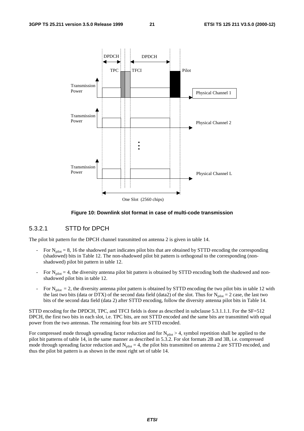

**Figure 10: Downlink slot format in case of multi-code transmission**

#### 5.3.2.1 STTD for DPCH

The pilot bit pattern for the DPCH channel transmitted on antenna 2 is given in table 14.

- For  $N_{\text{pilot}} = 8$ , 16 the shadowed part indicates pilot bits that are obtained by STTD encoding the corresponding (shadowed) bits in Table 12. The non-shadowed pilot bit pattern is orthogonal to the corresponding (nonshadowed) pilot bit pattern in table 12.
- For  $N_{\text{pilot}} = 4$ , the diversity antenna pilot bit pattern is obtained by STTD encoding both the shadowed and nonshadowed pilot bits in table 12.
- For  $N_{pilot} = 2$ , the diversity antenna pilot pattern is obtained by STTD encoding the two pilot bits in table 12 with the last two bits (data or DTX) of the second data field (data2) of the slot. Thus for  $N_{\text{pilot}} = 2$  case, the last two bits of the second data field (data 2) after STTD encoding, follow the diversity antenna pilot bits in Table 14.

STTD encoding for the DPDCH, TPC, and TFCI fields is done as described in subclause 5.3.1.1.1. For the SF=512 DPCH, the first two bits in each slot, i.e. TPC bits, are not STTD encoded and the same bits are transmitted with equal power from the two antennas. The remaining four bits are STTD encoded.

For compressed mode through spreading factor reduction and for  $N_{pilot} > 4$ , symbol repetition shall be applied to the pilot bit patterns of table 14, in the same manner as described in 5.3.2. For slot formats 2B and 3B, i.e. compressed mode through spreading factor reduction and  $N_{pilot} = 4$ , the pilot bits transmitted on antenna 2 are STTD encoded, and thus the pilot bit pattern is as shown in the most right set of table 14.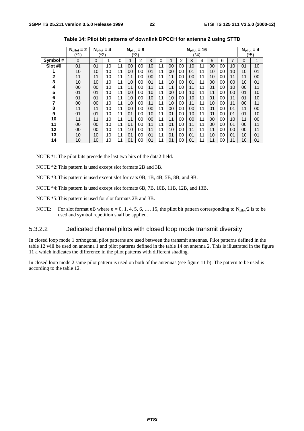|          | $N_{\text{pilot}} = 2$ |    | $N_{\text{pilot}} = 4$ |    | $N_{\text{pilot}} = 8$ |      |                |    |      |                | $N_{\text{pilot}} = 16$ |    |    |    |    | $N_{\text{pilot}} = 4$ |    |
|----------|------------------------|----|------------------------|----|------------------------|------|----------------|----|------|----------------|-------------------------|----|----|----|----|------------------------|----|
|          | (*1)                   |    | $^{\prime*}2)$         |    |                        | (*3) |                |    | (*4) |                |                         |    |    |    |    | (*5)                   |    |
| Symbol # | 0                      | 0  | 1                      | 0  | 1                      | 2    | 3              | 0  | 1    | $\overline{2}$ | 3                       | 4  | 5  | 6  | 7  | 0                      | 1  |
| Slot #0  | 0 <sub>1</sub>         | 01 | 10                     | 11 | 00                     | 00   | 10             | 11 | 00   | 00             | 10                      | 11 | 00 | 00 | 10 | 0 <sub>1</sub>         | 10 |
|          | 10                     | 10 | 10                     | 11 | 00                     | 00   | 01             | 11 | 00   | 00             | 01                      | 11 | 10 | 00 | 10 | 10                     | 01 |
| 2        | 11                     | 11 | 10                     | 11 | 11                     | 00   | 00             | 11 | 11   | 00             | 00                      | 11 | 10 | 00 | 11 | 11                     | 00 |
| 3        | 10                     | 10 | 10                     | 11 | 10                     | 00   | 01             | 11 | 10   | 00             | 01                      | 11 | 00 | 00 | 00 | 10                     | 01 |
| 4        | 00                     | 00 | 10                     | 11 | 11                     | 00   | 11             | 11 | 11   | 00             | 11                      | 11 | 01 | 00 | 10 | 00                     | 11 |
| 5        | 01                     | 01 | 10                     | 11 | 00                     | 00   | 10             | 11 | 00   | 00             | 10                      | 11 | 11 | 00 | 00 | 0 <sub>1</sub>         | 10 |
| 6        | 01                     | 01 | 10                     | 11 | 10                     | 00   | 10             | 11 | 10   | 00             | 10                      | 11 | 01 | 00 | 11 | 01                     | 10 |
| 7        | 00                     | 00 | 10                     | 11 | 10                     | 00   | 11             | 11 | 10   | 00             | 11                      | 11 | 10 | 00 | 11 | 00                     | 11 |
| 8        | 11                     | 11 | 10                     | 11 | 00                     | 00   | 00             | 11 | 00   | 00             | 00                      | 11 | 01 | 00 | 01 | 11                     | 00 |
| 9        | 01                     | 01 | 10                     | 11 | 01                     | 00   | 10             | 11 | 01   | 00             | 10                      | 11 | 01 | 00 | 01 | 01                     | 10 |
| 10       | 11                     | 11 | 10                     | 11 | 11                     | 00   | 00             | 11 | 11   | 00             | 00                      | 11 | 00 | 00 | 10 | 11                     | 00 |
| 11       | 00                     | 00 | 10                     | 11 | 01                     | 00   | 11             | 11 | 01   | 00             | 11                      | 11 | 00 | 00 | 01 | 00                     | 11 |
| 12       | 00                     | 00 | 10                     | 11 | 10                     | 00   | 11             | 11 | 10   | 00             | 11                      | 11 | 11 | 00 | 00 | 00                     | 11 |
| 13       | 10                     | 10 | 10                     | 11 | 01                     | 00   | 0 <sub>1</sub> | 11 | 01   | 00             | 0 <sub>1</sub>          | 11 | 10 | 00 | 01 | 10                     | 01 |
| 14       | 10                     | 10 | 10                     | 11 | 01                     | 00   | 0 <sup>1</sup> | 11 | 01   | 00             | 01                      | 11 | 11 | 00 | 11 | 10                     | 01 |

**Table 14: Pilot bit patterns of downlink DPCCH for antenna 2 using STTD**

NOTE \*1:The pilot bits precede the last two bits of the data2 field.

NOTE \*2:This pattern is used except slot formats 2B and 3B.

NOTE \*3:This pattern is used except slot formats 0B, 1B, 4B, 5B, 8B, and 9B.

NOTE \*4:This pattern is used except slot formats 6B, 7B, 10B, 11B, 12B, and 13B.

NOTE \*5:This pattern is used for slot formats 2B and 3B.

NOTE: For slot format *n*B where  $n = 0, 1, 4, 5, 6, \ldots, 15$ , the pilot bit pattern corresponding to  $N_{\text{pilot}}/2$  is to be used and symbol repetition shall be applied.

#### 5.3.2.2 Dedicated channel pilots with closed loop mode transmit diversity

In closed loop mode 1 orthogonal pilot patterns are used between the transmit antennas. Pilot patterns defined in the table 12 will be used on antenna 1 and pilot patterns defined in the table 14 on antenna 2. This is illustrated in the figure 11 a which indicates the difference in the pilot patterns with different shading.

In closed loop mode 2 same pilot pattern is used on both of the antennas (see figure 11 b). The pattern to be used is according to the table 12.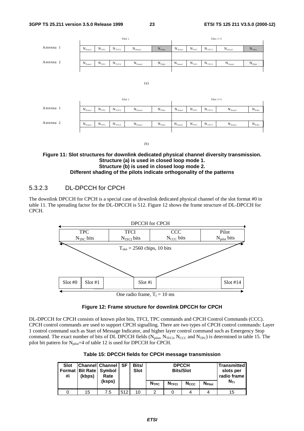

#### **Figure 11: Slot structures for downlink dedicated physical channel diversity transmission. Structure (a) is used in closed loop mode 1. Structure (b) is used in closed loop mode 2. Different shading of the pilots indicate orthogonality of the patterns**

### 5.3.2.3 DL-DPCCH for CPCH

The downlink DPCCH for CPCH is a special case of downlink dedicated physical channel of the slot format #0 in table 11. The spreading factor for the DL-DPCCH is 512. Figure 12 shows the frame structure of DL-DPCCH for CPCH.



#### **Figure 12: Frame structure for downlink DPCCH for CPCH**

DL-DPCCH for CPCH consists of known pilot bits, TFCI, TPC commands and CPCH Control Commands (CCC). CPCH control commands are used to support CPCH signalling. There are two types of CPCH control commands: Layer 1 control command such as Start of Message Indicator, and higher layer control command such as Emergency Stop command. The exact number of bits of DL DPCCH fields  $(N_{pilot}, N_{TFCI}, N_{CCC}$  and  $N_{TPC}$ ) is determined in table 15. The pilot bit pattern for  $N_{pilot} = 4$  of table 12 is used for DPCCH for CPCH.

|  |  |  | Table 15: DPCCH fields for CPCH message transmission |
|--|--|--|------------------------------------------------------|
|--|--|--|------------------------------------------------------|

| <b>Slot</b><br>#i | Format   Bit Rate   Symbol<br>(kbps) | <b>Channell Channel</b><br>Rate<br>(ksps) | ⊪SF | Bits/<br><b>Slot</b> | <b>NTPC</b> | <b>DPCCH</b><br><b>Bits/Slot</b><br>N <sub>TFCI</sub> | <b>N</b> Pilot | <b>Transmitted</b><br>slots per<br>radio frame<br>$N_{\text{Tr}}$ |  |
|-------------------|--------------------------------------|-------------------------------------------|-----|----------------------|-------------|-------------------------------------------------------|----------------|-------------------------------------------------------------------|--|
|                   |                                      |                                           |     |                      |             |                                                       | <b>Nccc</b>    |                                                                   |  |
|                   | 15                                   | 7.5                                       | 512 | 10                   | ◠           | 15                                                    |                |                                                                   |  |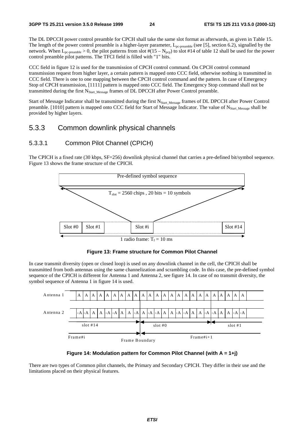The DL DPCCH power control preamble for CPCH shall take the same slot format as afterwards, as given in Table 15. The length of the power control preamble is a higher-layer parameter, L<sub>pc-preamble</sub> (see [5], section 6.2), signalled by the network. When  $L_{pc\text{-}preamble} > 0$ , the pilot patterns from slot  $\#(15 - N_{pc})$  to slot #14 of table 12 shall be used for the power control preamble pilot patterns. The TFCI field is filled with "1" bits.

CCC field in figure 12 is used for the transmission of CPCH control command. On CPCH control command transmission request from higher layer, a certain pattern is mapped onto CCC field, otherwise nothing is transmitted in CCC field. There is one to one mapping between the CPCH control command and the pattern. In case of Emergency Stop of CPCH transmission, [1111] pattern is mapped onto CCC field. The Emergency Stop command shall not be transmitted during the first N<sub>Start\_Message</sub> frames of DL DPCCH after Power Control preamble.

Start of Message Indicator shall be transmitted during the first N<sub>Start\_Message</sub> frames of DL DPCCH after Power Control preamble. [1010] pattern is mapped onto CCC field for Start of Message Indicator. The value of N<sub>Start\_Message</sub> shall be provided by higher layers.

### 5.3.3 Common downlink physical channels

### 5.3.3.1 Common Pilot Channel (CPICH)

The CPICH is a fixed rate (30 kbps, SF=256) downlink physical channel that carries a pre-defined bit/symbol sequence. Figure 13 shows the frame structure of the CPICH.



**Figure 13: Frame structure for Common Pilot Channel**

In case transmit diversity (open or closed loop) is used on any downlink channel in the cell, the CPICH shall be transmitted from both antennas using the same channelization and scrambling code. In this case, the pre-defined symbol sequence of the CPICH is different for Antenna 1 and Antenna 2, see figure 14. In case of no transmit diversity, the symbol sequence of Antenna 1 in figure 14 is used.





There are two types of Common pilot channels, the Primary and Secondary CPICH. They differ in their use and the limitations placed on their physical features.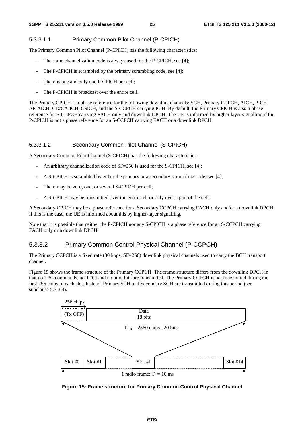### 5.3.3.1.1 Primary Common Pilot Channel (P-CPICH)

The Primary Common Pilot Channel (P-CPICH) has the following characteristics:

- The same channelization code is always used for the P-CPICH, see [4];
- The P-CPICH is scrambled by the primary scrambling code, see [4];
- There is one and only one P-CPICH per cell;
- The P-CPICH is broadcast over the entire cell.

The Primary CPICH is a phase reference for the following downlink channels: SCH, Primary CCPCH, AICH, PICH AP-AICH, CD/CA-ICH, CSICH, and the S-CCPCH carrying PCH. By default, the Primary CPICH is also a phase reference for S-CCPCH carrying FACH only and downlink DPCH. The UE is informed by higher layer signalling if the P-CPICH is not a phase reference for an S-CCPCH carrying FACH or a downlink DPCH.

### 5.3.3.1.2 Secondary Common Pilot Channel (S-CPICH)

A Secondary Common Pilot Channel (S-CPICH) has the following characteristics:

- An arbitrary channelization code of SF=256 is used for the S-CPICH, see [4];
- A S-CPICH is scrambled by either the primary or a secondary scrambling code, see [4];
- There may be zero, one, or several S-CPICH per cell;
- A S-CPICH may be transmitted over the entire cell or only over a part of the cell;

A Secondary CPICH may be a phase reference for a Secondary CCPCH carrying FACH only and/or a downlink DPCH. If this is the case, the UE is informed about this by higher-layer signalling.

Note that it is possible that neither the P-CPICH nor any S-CPICH is a phase reference for an S-CCPCH carrying FACH only or a downlink DPCH.

### 5.3.3.2 Primary Common Control Physical Channel (P-CCPCH)

The Primary CCPCH is a fixed rate (30 kbps, SF=256) downlink physical channels used to carry the BCH transport channel.

Figure 15 shows the frame structure of the Primary CCPCH. The frame structure differs from the downlink DPCH in that no TPC commands, no TFCI and no pilot bits are transmitted. The Primary CCPCH is not transmitted during the first 256 chips of each slot. Instead, Primary SCH and Secondary SCH are transmitted during this period (see subclause 5.3.3.4).



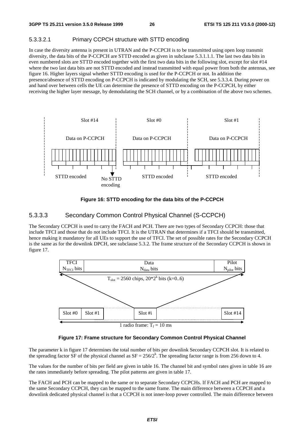#### 5.3.3.2.1 Primary CCPCH structure with STTD encoding

In case the diversity antenna is present in UTRAN and the P-CCPCH is to be transmitted using open loop transmit diversity, the data bits of the P-CCPCH are STTD encoded as given in subclause 5.3.1.1.1. The last two data bits in even numbered slots are STTD encoded together with the first two data bits in the following slot, except for slot #14 where the two last data bits are not STTD encoded and instead transmitted with equal power from both the antennas, see figure 16. Higher layers signal whether STTD encoding is used for the P-CCPCH or not. In addition the presence/absence of STTD encoding on P-CCPCH is indicated by modulating the SCH, see 5.3.3.4. During power on and hand over between cells the UE can determine the presence of STTD encoding on the P-CCPCH, by either receiving the higher layer message, by demodulating the SCH channel, or by a combination of the above two schemes.



**Figure 16: STTD encoding for the data bits of the P-CCPCH**

#### 5.3.3.3 Secondary Common Control Physical Channel (S-CCPCH)

The Secondary CCPCH is used to carry the FACH and PCH. There are two types of Secondary CCPCH: those that include TFCI and those that do not include TFCI. It is the UTRAN that determines if a TFCI should be transmitted, hence making it mandatory for all UEs to support the use of TFCI. The set of possible rates for the Secondary CCPCH is the same as for the downlink DPCH, see subclause 5.3.2. The frame structure of the Secondary CCPCH is shown in figure 17.



**Figure 17: Frame structure for Secondary Common Control Physical Channel**

The parameter k in figure 17 determines the total number of bits per downlink Secondary CCPCH slot. It is related to the spreading factor SF of the physical channel as  $SF = 256/2^k$ . The spreading factor range is from 256 down to 4.

The values for the number of bits per field are given in table 16. The channel bit and symbol rates given in table 16 are the rates immediately before spreading. The pilot patterns are given in table 17.

The FACH and PCH can be mapped to the same or to separate Secondary CCPCHs. If FACH and PCH are mapped to the same Secondary CCPCH, they can be mapped to the same frame. The main difference between a CCPCH and a downlink dedicated physical channel is that a CCPCH is not inner-loop power controlled. The main difference between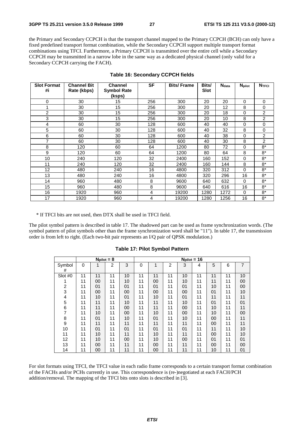the Primary and Secondary CCPCH is that the transport channel mapped to the Primary CCPCH (BCH) can only have a fixed predefined transport format combination, while the Secondary CCPCH support multiple transport format combinations using TFCI. Furthermore, a Primary CCPCH is transmitted over the entire cell while a Secondary CCPCH may be transmitted in a narrow lobe in the same way as a dedicated physical channel (only valid for a Secondary CCPCH carrying the FACH).

| <b>Slot Format</b><br>#i | <b>Channel Bit</b><br>Rate (kbps) | <b>Channel</b><br><b>Symbol Rate</b> | <b>SF</b> | <b>Bits/Frame</b> | Bits/<br>Slot | <b>N</b> <sub>data</sub> | <b>N</b> pilot | <b>NTFCI</b>   |
|--------------------------|-----------------------------------|--------------------------------------|-----------|-------------------|---------------|--------------------------|----------------|----------------|
|                          |                                   | (ksps)                               |           |                   |               |                          |                |                |
| 0                        | 30                                | 15                                   | 256       | 300               | 20            | 20                       | 0              | 0              |
|                          | 30                                | 15                                   | 256       | 300               | 20            | 12                       | 8              | 0              |
| $\overline{2}$           | 30                                | 15                                   | 256       | 300               | 20            | 18                       | $\Omega$       | $\overline{c}$ |
| 3                        | 30                                | 15                                   | 256       | 300               | 20            | 10                       | 8              | 2              |
| 4                        | 60                                | 30                                   | 128       | 600               | 40            | 40                       | $\Omega$       | 0              |
| 5                        | 60                                | 30                                   | 128       | 600               | 40            | 32                       | 8              | 0              |
| 6                        | 60                                | 30                                   | 128       | 600               | 40            | 38                       | $\Omega$       | $\overline{c}$ |
| 7                        | 60                                | 30                                   | 128       | 600               | 40            | 30                       | 8              | $\overline{2}$ |
| 8                        | 120                               | 60                                   | 64        | 1200              | 80            | 72                       | 0              | $8*$           |
| 9                        | 120                               | 60                                   | 64        | 1200              | 80            | 64                       | 8              | $8*$           |
| 10                       | 240                               | 120                                  | 32        | 2400              | 160           | 152                      | $\Omega$       | $8*$           |
| 11                       | 240                               | 120                                  | 32        | 2400              | 160           | 144                      | 8              | $8*$           |
| 12                       | 480                               | 240                                  | 16        | 4800              | 320           | 312                      | $\Omega$       | $8*$           |
| 13                       | 480                               | 240                                  | 16        | 4800              | 320           | 296                      | 16             | $8*$           |
| 14                       | 960                               | 480                                  | 8         | 9600              | 640           | 632                      | $\Omega$       | $8*$           |
| 15                       | 960                               | 480                                  | 8         | 9600              | 640           | 616                      | 16             | $8*$           |
| 16                       | 1920                              | 960                                  | 4         | 19200             | 1280          | 1272                     | $\Omega$       | $8*$           |
| 17                       | 1920                              | 960                                  | 4         | 19200             | 1280          | 1256                     | 16             | $8*$           |

#### **Table 16: Secondary CCPCH fields**

\* If TFCI bits are not used, then DTX shall be used in TFCI field.

The pilot symbol pattern is described in table 17. The shadowed part can be used as frame synchronization words. (The symbol pattern of pilot symbols other than the frame synchronization word shall be "11"). In table 17, the transmission order is from left to right. (Each two-bit pair represents an I/Q pair of QPSK modulation.)

|                                       |    | $Npilot = 8$ |    |    |    |    |    |    | $Npi = 16$ |    |    |                |
|---------------------------------------|----|--------------|----|----|----|----|----|----|------------|----|----|----------------|
| Symbol<br>#                           | 0  | 1            | 2  | 3  | 0  | 1  | 2  | 3  | 4          | 5  | 6  | $\overline{7}$ |
| Slot #0                               | 11 | 11           | 11 | 10 | 11 | 11 | 11 | 10 | 11         | 11 | 11 | 10             |
| 1                                     | 11 | 00           | 11 | 10 | 11 | 00 | 11 | 10 | 11         | 11 | 11 | 00             |
| $\frac{2}{3}$                         | 11 | 01           | 11 | 01 | 11 | 01 | 11 | 01 | 11         | 10 | 11 | 00             |
|                                       | 11 | 00           | 11 | 00 | 11 | 00 | 11 | 00 | 11         | 01 | 11 | 10             |
|                                       | 11 | 10           | 11 | 01 | 11 | 10 | 11 | 01 | 11         | 11 | 11 | 11             |
| $\frac{4}{5}$                         | 11 | 11           | 11 | 10 | 11 | 11 | 11 | 10 | 11         | 01 | 11 | 01             |
| 6                                     | 11 | 11           | 11 | 00 | 11 | 11 | 11 | 00 | 11         | 10 | 11 | 11             |
| $\overline{7}$                        | 11 | 10           | 11 | 00 | 11 | 10 | 11 | 00 | 11         | 10 | 11 | 00             |
| $\begin{array}{c} 8 \\ 9 \end{array}$ | 11 | 01           | 11 | 10 | 11 | 01 | 11 | 10 | 11         | 00 | 11 | 11             |
|                                       | 11 | 11           | 11 | 11 | 11 | 11 | 11 | 11 | 11         | 00 | 11 | 11             |
| 10                                    | 11 | 01           | 11 | 01 | 11 | 01 | 11 | 01 | 11         | 11 | 11 | 10             |
| 11                                    | 11 | 10           | 11 | 11 | 11 | 10 | 11 | 11 | 11         | 00 | 11 | 10             |
| 12                                    | 11 | 10           | 11 | 00 | 11 | 10 | 11 | 00 | 11         | 01 | 11 | 01             |
| 13                                    | 11 | 00           | 11 | 11 | 11 | 00 | 11 | 11 | 11         | 00 | 11 | 00             |
| 14                                    | 11 | 00           | 11 | 11 | 11 | 00 | 11 | 11 | 11         | 10 | 11 | 01             |

**Table 17: Pilot Symbol Pattern**

For slot formats using TFCI, the TFCI value in each radio frame corresponds to a certain transport format combination of the FACHs and/or PCHs currently in use. This correspondence is (re-)negotiated at each FACH/PCH addition/removal. The mapping of the TFCI bits onto slots is described in [3].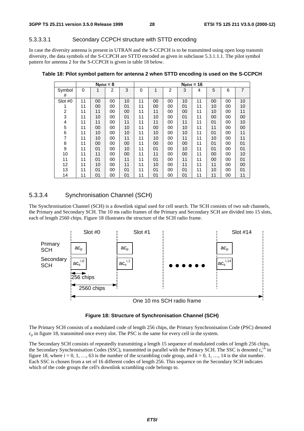#### 5.3.3.3.1 Secondary CCPCH structure with STTD encoding

In case the diversity antenna is present in UTRAN and the S-CCPCH is to be transmitted using open loop transmit diversity, the data symbols of the S-CCPCH are STTD encoded as given in subclause 5.3.1.1.1. The pilot symbol pattern for antenna 2 for the S-CCPCH is given in table 18 below.

|                  |          | $Npi = 8$ |    |    |    |              |    |    | $Npi = 16$ |    |    |                |
|------------------|----------|-----------|----|----|----|--------------|----|----|------------|----|----|----------------|
| Symbol           | $\Omega$ | 1         | 2  | 3  | 0  | $\mathbf{1}$ | 2  | 3  | 4          | 5  | 6  | $\overline{7}$ |
| #                |          |           |    |    |    |              |    |    |            |    |    |                |
| Slot #0          | 11       | 00        | 00 | 10 | 11 | 00           | 00 | 10 | 11         | 00 | 00 | 10             |
|                  | 11       | 00        | 00 | 01 | 11 | 00           | 00 | 01 | 11         | 10 | 00 | 10             |
| 2                | 11       | 11        | 00 | 00 | 11 | 11           | 00 | 00 | 11         | 10 | 00 | 11             |
| 3                | 11       | 10        | 00 | 01 | 11 | 10           | 00 | 01 | 11         | 00 | 00 | 00             |
| 4                | 11       | 11        | 00 | 11 | 11 | 11           | 00 | 11 | 11         | 01 | 00 | 10             |
| 5                | 11       | 00        | 00 | 10 | 11 | 00           | 00 | 10 | 11         | 11 | 00 | 00             |
| $\,6$            | 11       | 10        | 00 | 10 | 11 | 10           | 00 | 10 | 11         | 01 | 00 | 11             |
| 7                | 11       | 10        | 00 | 11 | 11 | 10           | 00 | 11 | 11         | 10 | 00 | 11             |
| 8                | 11       | 00        | 00 | 00 | 11 | 00           | 00 | 00 | 11         | 01 | 00 | 01             |
| $\boldsymbol{9}$ | 11       | 01        | 00 | 10 | 11 | 01           | 00 | 10 | 11         | 01 | 00 | 01             |
| 10               | 11       | 11        | 00 | 00 | 11 | 11           | 00 | 00 | 11         | 00 | 00 | 10             |
| 11               | 11       | 01        | 00 | 11 | 11 | 01           | 00 | 11 | 11         | 00 | 00 | 01             |
| 12               | 11       | 10        | 00 | 11 | 11 | 10           | 00 | 11 | 11         | 11 | 00 | 00             |
| 13               | 11       | 01        | 00 | 01 | 11 | 01           | 00 | 01 | 11         | 10 | 00 | 01             |
| 14               | 11       | 01        | 00 | 01 | 11 | 01           | 00 | 01 | 11         | 11 | 00 | 11             |

**Table 18: Pilot symbol pattern for antenna 2 when STTD encoding is used on the S-CCPCH**

#### 5.3.3.4 Synchronisation Channel (SCH)

The Synchronisation Channel (SCH) is a downlink signal used for cell search. The SCH consists of two sub channels, the Primary and Secondary SCH. The 10 ms radio frames of the Primary and Secondary SCH are divided into 15 slots, each of length 2560 chips. Figure 18 illustrates the structure of the SCH radio frame.





The Primary SCH consists of a modulated code of length 256 chips, the Primary Synchronisation Code (PSC) denoted  $c_p$  in figure 18, transmitted once every slot. The PSC is the same for every cell in the system.

The Secondary SCH consists of repeatedly transmitting a length 15 sequence of modulated codes of length 256 chips, the Secondary Synchronisation Codes (SSC), transmitted in parallel with the Primary SCH. The SSC is denoted  $c_s^{i,\bar{k}}$  in figure 18, where  $i = 0, 1, ..., 63$  is the number of the scrambling code group, and  $k = 0, 1, ..., 14$  is the slot number. Each SSC is chosen from a set of 16 different codes of length 256. This sequence on the Secondary SCH indicates which of the code groups the cell's downlink scrambling code belongs to.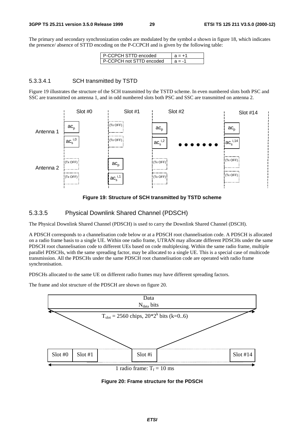The primary and secondary synchronization codes are modulated by the symbol *a* shown in figure 18, which indicates the presence/ absence of STTD encoding on the P-CCPCH and is given by the following table:

| I P-CCPCH STTD encoded     | $A = +1$ |
|----------------------------|----------|
| I P-CCPCH not STTD encoded | $a = -1$ |

#### 5.3.3.4.1 SCH transmitted by TSTD

Figure 19 illustrates the structure of the SCH transmitted by the TSTD scheme. In even numbered slots both PSC and SSC are transmitted on antenna 1, and in odd numbered slots both PSC and SSC are transmitted on antenna 2.



**Figure 19: Structure of SCH transmitted by TSTD scheme**

#### 5.3.3.5 Physical Downlink Shared Channel (PDSCH)

The Physical Downlink Shared Channel (PDSCH) is used to carry the Downlink Shared Channel (DSCH).

A PDSCH corresponds to a channelisation code below or at a PDSCH root channelisation code. A PDSCH is allocated on a radio frame basis to a single UE. Within one radio frame, UTRAN may allocate different PDSCHs under the same PDSCH root channelisation code to different UEs based on code multiplexing. Within the same radio frame, multiple parallel PDSCHs, with the same spreading factor, may be allocated to a single UE. This is a special case of multicode transmission. All the PDSCHs under the same PDSCH root channelisation code are operated with radio frame synchronisation.

PDSCHs allocated to the same UE on different radio frames may have different spreading factors.

The frame and slot structure of the PDSCH are shown on figure 20.



**Figure 20: Frame structure for the PDSCH**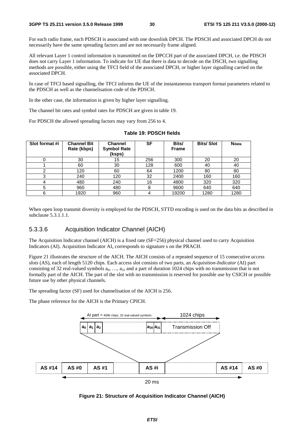For each radio frame, each PDSCH is associated with one downlink DPCH. The PDSCH and associated DPCH do not necessarily have the same spreading factors and are not necessarily frame aligned.

All relevant Layer 1 control information is transmitted on the DPCCH part of the associated DPCH, i.e. the PDSCH does not carry Layer 1 information. To indicate for UE that there is data to decode on the DSCH, two signalling methods are possible, either using the TFCI field of the associated DPCH, or higher layer signalling carried on the associated DPCH.

In case of TFCI based signalling, the TFCI informs the UE of the instantaneous transport format parameters related to the PDSCH as well as the channelisation code of the PDSCH.

In the other case, the information is given by higher layer signalling.

The channel bit rates and symbol rates for PDSCH are given in table 19.

For PDSCH the allowed spreading factors may vary from 256 to 4.

| Slot format #i | <b>Channel Bit</b><br>Rate (kbps) | <b>Channel</b><br><b>Symbol Rate</b><br>(ksps) | SF  | Bits/<br><b>Frame</b> | <b>Bits/Slot</b> | <b>N</b> data |
|----------------|-----------------------------------|------------------------------------------------|-----|-----------------------|------------------|---------------|
|                | 30                                | 15                                             | 256 | 300                   | 20               | 20            |
|                | 60                                | 30                                             | 128 | 600                   | 40               | 40            |
|                | 120                               | 60                                             | 64  | 1200                  | 80               | 80            |
| 3              | 240                               | 120                                            | 32  | 2400                  | 160              | 160           |
| 4              | 480                               | 240                                            | 16  | 4800                  | 320              | 320           |
| 5              | 960                               | 480                                            | 8   | 9600                  | 640              | 640           |
| 6              | 1920                              | 960                                            |     | 19200                 | 1280             | 1280          |

**Table 19: PDSCH fields**

When open loop transmit diversity is employed for the PDSCH, STTD encoding is used on the data bits as described in subclause 5.3.1.1.1.

#### 5.3.3.6 Acquisition Indicator Channel (AICH)

The Acquisition Indicator channel (AICH) is a fixed rate (SF=256) physical channel used to carry Acquisition Indicators (AI). Acquisition Indicator AI<sub>s</sub> corresponds to signature s on the PRACH.

Figure 21 illustrates the structure of the AICH. The AICH consists of a repeated sequence of 15 consecutive *access slots* (AS), each of length 5120 chips. Each access slot consists of two parts, an *Acquisition-Indicator* (AI) part consisting of 32 real-valued symbols  $a_0, \ldots, a_{31}$  and a part of duration 1024 chips with no transmission that is not formally part of the AICH. The part of the slot with no transmission is reserved for possible use by CSICH or possible future use by other physical channels.

The spreading factor (SF) used for channelisation of the AICH is 256.

The phase reference for the AICH is the Primary CPICH.



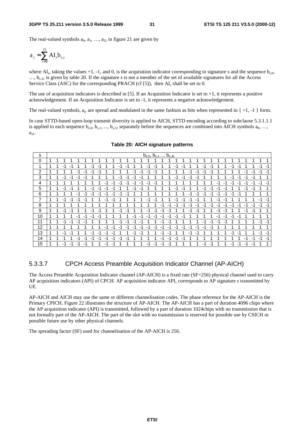The real-valued symbols  $a_0, a_1, \ldots, a_{31}$  in figure 21 are given by

$$
a_j = \sum_{s=0}^{15} A I_s b_{s,j}
$$

where AI<sub>s</sub>, taking the values +1, -1, and 0, is the acquisition indicator corresponding to signature s and the sequence b<sub>s,0</sub>,  $..., b_{s,31}$  is given by table 20. If the signature s is not a member of the set of available signatures for all the Access Service Class (ASC) for the corresponding PRACH (cf [5]), then  $AI_s$  shall be set to 0.

The use of acquisition indicators is described in [5]. If an Acquisition Indicator is set to  $+1$ , it represents a positive acknowledgement. If an Acquisition Indicator is set to -1, it represents a negative acknowledgement.

The real-valued symbols,  $a_i$ , are spread and modulated in the same fashion as bits when represented in  $\{ +1, -1 \}$  form.

In case STTD-based open-loop transmit diversity is applied to AICH, STTD encoding according to subclause 5.3.1.1.1 is applied to each sequence  $b_{s,0}, b_{s,1}, ..., b_{s,31}$  separately before the sequences are combined into AICH symbols  $a_0, ...,$  $a_{31}$ .

| s  |   |   |      |      |      |      |      |      |      |    |      |      |      |      |      | $b_{s,0}, b_{s,1} \ldots, b_{s,31}$ |         |    |      |      |      |    |      |      |      |    |      |                               |    |      |      |      |
|----|---|---|------|------|------|------|------|------|------|----|------|------|------|------|------|-------------------------------------|---------|----|------|------|------|----|------|------|------|----|------|-------------------------------|----|------|------|------|
| 0  |   |   |      |      |      |      |      |      |      |    |      |      |      |      |      |                                     |         |    |      |      |      |    |      |      |      |    |      |                               |    |      |      |      |
| 1  |   |   | $-1$ |      |      |      | -1   | -1   |      |    | $-1$ |      |      |      | -1   | $-4$                                |         |    | -1   |      |      |    | -1   | $-1$ |      |    | $-1$ |                               |    |      | $-1$ | -1   |
| 2  |   |   |      |      | -1   | -1   | -1   | $-7$ |      |    |      |      | -1   | -1   | -1   | $-1$                                |         |    |      |      | -1   | -1 | - 1  | -1   |      |    |      |                               | -1 | -1   | -1   | -1   |
| 3  |   |   | -1   | -1   | $-1$ | ÷    |      |      |      |    | -1   |      | $-1$ |      |      |                                     |         |    | $-1$ | -1   | $-1$ |    |      |      |      |    | -1   |                               | -1 | -1   |      |      |
| 4  | 1 |   |      |      |      |      |      |      | $-1$ | -1 | $-1$ | $-1$ | -1   | -1   | $-1$ | -1                                  |         |    |      |      |      |    |      |      | -1   | -1 | $-1$ | -1                            | -1 | $-1$ | -1   | -1   |
| 5  | 1 | и | -1   |      |      |      | $-1$ | $-1$ | -1   | -1 |      |      | -1   |      |      |                                     |         |    | $-1$ |      |      |    | $-1$ | $-1$ | -1   | -1 |      |                               | -1 | -1   |      |      |
| 6  |   |   |      |      | -1   | $-1$ | -1   | -1   | -1   | -1 | $-1$ |      |      |      |      |                                     |         |    |      |      | -1   |    | -1   | $-1$ | $-1$ | -1 | -1   |                               |    |      |      |      |
| 7  |   |   | $-1$ | $-1$ | -1   | $-$  |      |      | -1   | -1 |      |      |      |      | -1   | $-1$                                |         |    | -1   | $-1$ | -1   | -1 |      |      | -1   | -1 |      |                               |    |      | $-1$ | $-1$ |
| 8  |   |   |      |      |      |      |      |      |      |    |      |      |      |      |      |                                     | $-1$    | -1 | -1   | $-1$ | -1   | -1 | -1   | $-1$ | $-1$ | -1 | -1   | -1                            | -1 | $-1$ | $-1$ | $-1$ |
| 9  |   |   | -1   |      |      |      | -1   |      |      |    | $-1$ |      |      |      | -1   | $-1$                                | -1      | -1 |      |      | -1   |    |      |      | -1   | -2 |      |                               | -1 | -1   |      |      |
| 10 |   |   |      |      | -1   | $-1$ | $-1$ | $-1$ |      |    |      |      | $-1$ | -1   | $-1$ | $-1$                                | -1      | -1 | $-1$ |      |      |    |      |      | -1   | -1 | -1   | и<br>$\overline{\phantom{a}}$ |    |      |      |      |
| 11 | 1 |   | $-1$ | $-1$ | $-1$ |      |      |      |      |    | $-1$ | - 1  | -1   | $-1$ |      |                                     | -1      | -1 |      |      |      |    |      | $-4$ |      | ÷  |      |                               |    |      | $-1$ | -1   |
| 12 |   |   |      |      |      |      |      |      | -1   | -1 | $-4$ | $-1$ | -1   | -1   | -1   | $-1$                                | -1      | -1 | -1   | $-1$ | -1   | -1 | -1   | $-1$ |      |    |      |                               |    |      |      |      |
| 13 |   | 4 | $-1$ |      |      |      | -1   | -1   | -1   | -1 |      |      | -1   | -1   |      |                                     | -1      | -1 |      |      | -1   | -1 |      |      |      |    | -1   |                               |    |      | $-1$ | -1   |
| 14 |   |   |      |      | -1   | -1   | $-1$ | $-1$ | -1   | -1 | -1   | - 1  |      |      |      |                                     | -1      | -1 | -1   | -1   |      |    |      |      |      |    |      |                               | -1 | $-1$ | $-1$ | $-1$ |
| 15 |   |   | $-1$ | $-1$ | -1   | $-1$ |      |      | ٠    |    |      |      |      |      | $-1$ | -1                                  | .1<br>٠ |    |      |      |      |    |      | -1   |      |    | -1   | $-1$                          | -1 | -1   |      |      |

#### **Table 20: AICH signature patterns**

#### 5.3.3.7 CPCH Access Preamble Acquisition Indicator Channel (AP-AICH)

The Access Preamble Acquisition Indicator channel (AP-AICH) is a fixed rate (SF=256) physical channel used to carry AP acquisition indicators (API) of CPCH. AP acquisition indicator APIs corresponds to AP signature *s* transmitted by UE.

AP-AICH and AICH may use the same or different channelisation codes. The phase reference for the AP-AICH is the Primary CPICH. Figure 22 illustrates the structure of AP-AICH. The AP-AICH has a part of duration 4096 chips where the AP acquisition indicator (API) is transmitted, followed by a part of duration 1024chips with no transmission that is not formally part of the AP-AICH. The part of the slot with no transmission is reserved for possible use by CSICH or possible future use by other physical channels.

The spreading factor (SF) used for channelisation of the AP-AICH is 256.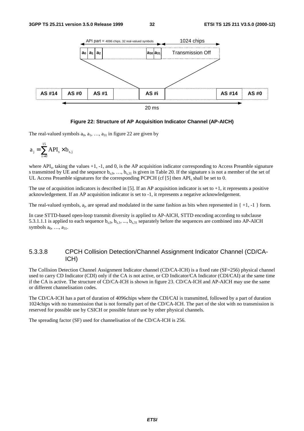

#### **Figure 22: Structure of AP Acquisition Indicator Channel (AP-AICH)**

The real-valued symbols  $a_0$ ,  $a_1$ , ...,  $a_{31}$  in figure 22 are given by

$$
a_{j} = \sum_{s=0}^{15} API_{s} \times b_{s,j}
$$

where API<sub>s</sub>, taking the values  $+1$ ,  $-1$ , and 0, is the AP acquisition indicator corresponding to Access Preamble signature s transmitted by UE and the sequence  $b_{s,0}, \ldots, b_{s,31}$  is given in Table 20. If the signature s is not a member of the set of UL Access Preamble signatures for the corresponding PCPCH (cf [5] then API, shall be set to 0.

The use of acquisition indicators is described in [5]. If an AP acquisition indicator is set to  $+1$ , it represents a positive acknowledgement. If an AP acquisition indicator is set to -1, it represents a negative acknowledgement.

The real-valued symbols,  $a_i$ , are spread and modulated in the same fashion as bits when represented in  $\{ +1, -1 \}$  form.

In case STTD-based open-loop transmit diversity is applied to AP-AICH, STTD encoding according to subclause 5.3.1.1.1 is applied to each sequence  $b_{s,0}$ ,  $b_{s,1}$ , ...,  $b_{s,31}$  separately before the sequences are combined into AP-AICH symbols  $a_0, \ldots, a_{31}$ .

#### 5.3.3.8 CPCH Collision Detection/Channel Assignment Indicator Channel (CD/CA-ICH)

The Collision Detection Channel Assignment Indicator channel (CD/CA-ICH) is a fixed rate (SF=256) physical channel used to carry CD Indicator (CDI) only if the CA is not active, or CD Indicator/CA Indicator (CDI/CAI) at the same time if the CA is active. The structure of CD/CA-ICH is shown in figure 23. CD/CA-ICH and AP-AICH may use the same or different channelisation codes.

The CD/CA-ICH has a part of duration of 4096chips where the CDI/CAI is transmitted, followed by a part of duration 1024chips with no transmission that is not formally part of the CD/CA-ICH. The part of the slot with no transmission is reserved for possible use by CSICH or possible future use by other physical channels.

The spreading factor (SF) used for channelisation of the CD/CA-ICH is 256.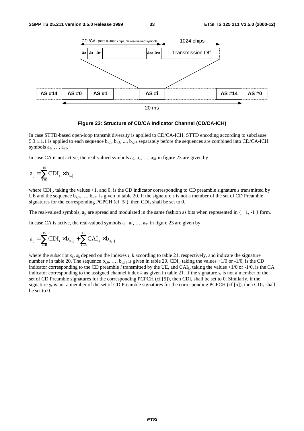

#### **Figure 23: Structure of CD/CA Indicator Channel (CD/CA-ICH)**

In case STTD-based open-loop transmit diversity is applied to CD/CA-ICH, STTD encoding according to subclause 5.3.1.1.1 is applied to each sequence  $b_{s,0}$ ,  $b_{s,1}$ , ...,  $b_{s,31}$  separately before the sequences are combined into CD/CA-ICH symbols  $a_0, \ldots, a_{31}$ .

In case CA is not active, the real-valued symbols  $a_0, a_1, \ldots, a_{31}$  in figure 23 are given by

$$
a_{j} = \sum_{s=0}^{15} CDI_{s} \times b_{s,j}
$$

where CDI<sub>s</sub>, taking the values +1, and 0, is the CD indicator corresponding to CD preamble signature *s* transmitted by UE and the sequence  $b_{s,0}$ , ...,  $b_{s,31}$  is given in table 20. If the signature *s* is not a member of the set of CD Preamble signatures for the corresponding PCPCH (cf  $[5]$ ), then CDI<sub>s</sub> shall be set to 0.

The real-valued symbols,  $a_i$ , are spread and modulated in the same fashion as bits when represented in  $\{ +1, -1 \}$  form.

In case CA is active, the real-valued symbols  $a_0, a_1, \ldots, a_{31}$  in figure 23 are given by

$$
a_{j} = \sum_{i=0}^{15} CDI_{i} \times b_{s_{i},j} + \sum_{k=0}^{15} CAI_{k} \times b_{s_{k},j}
$$

where the subscript  $s_i$ ,  $s_k$  depend on the indexes *i*, *k* according to table 21, respectively, and indicate the signature number *s* in table 20. The sequence  $b_{s,0}$ , ...,  $b_{s,31}$  is given in table 20. CDI<sub>i</sub>, taking the values +1/0 or -1/0, is the CD indicator corresponding to the CD preamble *i* transmitted by the UE, and CAI<sub>k</sub>, taking the values  $+1/0$  or  $-1/0$ , is the CA indicator corresponding to the assigned channel index  $k$  as given in table 21. If the signature  $s_i$  is not a member of the set of CD Preamble signatures for the corresponding PCPCH (cf [5]), then CDI<sub>s</sub> shall be set to 0. Similarly, if the signature  $s_k$  is not a member of the set of CD Preamble signatures for the corresponding PCPCH (cf [5]), then CDI<sub>s</sub> shall be set to 0.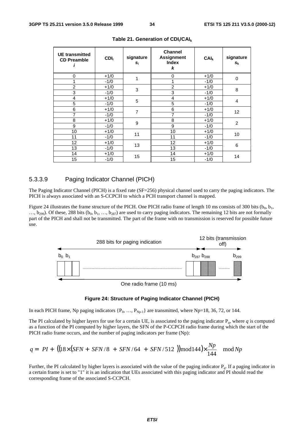| <b>UE</b> transmitted<br><b>CD Preamble</b> | CDI <sub>i</sub> | signature<br>Si | <b>Channel</b><br><b>Assignment</b><br><b>Index</b><br>k | CAI <sub>k</sub> | signature<br>$s_{k}$ |  |  |
|---------------------------------------------|------------------|-----------------|----------------------------------------------------------|------------------|----------------------|--|--|
| 0                                           | $+1/0$           | 1               | 0                                                        | $+1/0$           | $\mathbf 0$          |  |  |
| 1                                           | $-1/0$           |                 |                                                          | $-1/0$           |                      |  |  |
| $\overline{2}$                              | $+1/0$           | 3               | $\overline{2}$                                           | $+1/0$           | 8                    |  |  |
| 3                                           | $-1/0$           |                 | 3                                                        | $-1/0$           |                      |  |  |
| 4                                           | $+1/0$           | 5               | 4                                                        | $+1/0$           | 4                    |  |  |
| 5                                           | $-1/0$           |                 | 5                                                        | $-1/0$           |                      |  |  |
| 6                                           | $+1/0$           | $\overline{7}$  | 6                                                        | $+1/0$           |                      |  |  |
| $\overline{7}$                              | $-1/0$           |                 | $\overline{7}$                                           | $-1/0$           | 12                   |  |  |
| 8                                           | $+1/0$           | 9               | 8                                                        | $+1/0$           |                      |  |  |
| 9                                           | $-1/0$           |                 | 9                                                        | $-1/0$           | $\overline{2}$       |  |  |
| 10                                          | $+1/0$           | 11              | 10                                                       | $+1/0$           |                      |  |  |
| 11                                          | $-1/0$           |                 | 11                                                       | $-1/0$           | 10                   |  |  |
| 12                                          | $+1/0$           | 13              | $12 \overline{ }$                                        | $+1/0$           |                      |  |  |
| 13                                          | $-1/0$           |                 | 13                                                       | $-1/0$           | 6                    |  |  |
| 14                                          | $+1/0$           | 15              | 14                                                       | $+1/0$           |                      |  |  |
| 15                                          | $-1/0$           |                 | 15                                                       | $-1/0$           | 14                   |  |  |

|  |  | Table 21. Generation of $CDIi/CAIk$ |
|--|--|-------------------------------------|
|--|--|-------------------------------------|

#### 5.3.3.9 Paging Indicator Channel (PICH)

The Paging Indicator Channel (PICH) is a fixed rate (SF=256) physical channel used to carry the paging indicators. The PICH is always associated with an S-CCPCH to which a PCH transport channel is mapped.

Figure 24 illustrates the frame structure of the PICH. One PICH radio frame of length 10 ms consists of 300 bits ( $b_0$ ,  $b_1$ ,  $\ldots$ , b<sub>299</sub>). Of these, 288 bits (b<sub>0</sub>, b<sub>1</sub>,  $\ldots$ , b<sub>287</sub>) are used to carry paging indicators. The remaining 12 bits are not formally part of the PICH and shall not be transmitted. The part of the frame with no transmission is reserved for possible future use.



One radio frame (10 ms)

#### **Figure 24: Structure of Paging Indicator Channel (PICH)**

In each PICH frame, Np paging indicators  $\{P_0, \ldots, P_{Np-1}\}$  are transmitted, where Np=18, 36, 72, or 144.

The PI calculated by higher layers for use for a certain UE, is associated to the paging indicator P*q*, where *q* is computed as a function of the PI computed by higher layers, the SFN of the P-CCPCH radio frame during which the start of the PICH radio frame occurs, and the number of paging indicators per frame (Np):

$$
q = \left( PI + \left[ \left( \frac{\left( 18 \times (SFN + \lfloor SFN / 8 \rfloor + \lfloor SFN / 64 \rfloor + \lfloor SFN / 512 \rfloor) \right) \mod 144 \right) \times \frac{Np}{144} \right] \mod Np
$$

Further, the PI calculated by higher layers is associated with the value of the paging indicator P*q*. If a paging indicator in a certain frame is set to "1" it is an indication that UEs associated with this paging indicator and PI should read the corresponding frame of the associated S-CCPCH.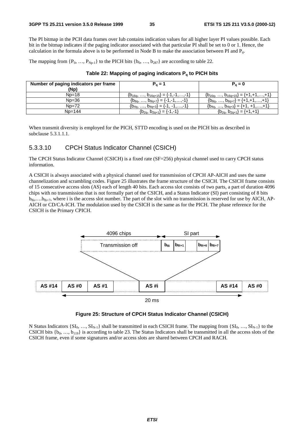The PI bitmap in the PCH data frames over Iub contains indication values for all higher layer PI values possible. Each bit in the bitmap indicates if the paging indicator associated with that particular PI shall be set to 0 or 1. Hence, the calculation in the formula above is to be performed in Node B to make the association between PI and P*q*.

The mapping from  $\{P_0, ..., P_{Np-1}\}\$ to the PICH bits  $\{b_0, ..., b_{287}\}\$ are according to table 22.

#### **Table 22: Mapping of paging indicators Pq to PICH bits**

| Number of paging indicators per frame<br>(Np) | $P_{0} = 1$                             | $P_0 = 0$                                   |
|-----------------------------------------------|-----------------------------------------|---------------------------------------------|
| $Np=18$                                       | ${b_{16q},,b_{16q+15}}={-1,-1,,-1}$     | ${b_{16q},,b_{16q+15}} = {+1,+1,,+1}$       |
| $Np=36$                                       | ${b_{8q}, , b_{8q+7}} = {-1, -1, , -1}$ | ${b_{8q}, , b_{8q+7}} = {\text{+1,+1,,+1}}$ |
| $Np=72$                                       | ${b_{4q}, , b_{4q+3}} = {-1, -1, , -1}$ | ${b_{4q},,b_{4q+3}} = {\text{+1, +1,,+1}}$  |
| $Np=144$                                      | ${b_{2q}, b_{2q+1}} = {-1, -1}$         | ${b_{2q}, b_{2q+1}} = {\text{+1,+1}}$       |

When transmit diversity is employed for the PICH, STTD encoding is used on the PICH bits as described in subclause 5.3.1.1.1.

#### 5.3.3.10 CPCH Status Indicator Channel (CSICH)

The CPCH Status Indicator Channel (CSICH) is a fixed rate (SF=256) physical channel used to carry CPCH status information.

A CSICH is always associated with a physical channel used for transmission of CPCH AP-AICH and uses the same channelization and scrambling codes. Figure 25 illustrates the frame structure of the CSICH. The CSICH frame consists of 15 consecutive access slots (AS) each of length 40 bits. Each access slot consists of two parts, a part of duration 4096 chips with no transmission that is not formally part of the CSICH, and a Status Indicator (SI) part consisting of 8 bits  $b_{8i},...b_{8i+7}$ , where i is the access slot number. The part of the slot with no transmission is reserved for use by AICH, AP-AICH or CD/CA-ICH. The modulation used by the CSICH is the same as for the PICH. The phase reference for the CSICH is the Primary CPICH.



#### **Figure 25: Structure of CPCH Status Indicator Channel (CSICH)**

N Status Indicators  $\{SI_0, ..., SI_{N-1}\}\$  shall be transmitted in each CSICH frame. The mapping from  $\{SI_0, ..., SI_{N-1}\}\$ to the CSICH bits  $\{b_0, \ldots, b_{119}\}$  is according to table 23. The Status Indicators shall be transmitted in all the access slots of the CSICH frame, even if some signatures and/or access slots are shared between CPCH and RACH.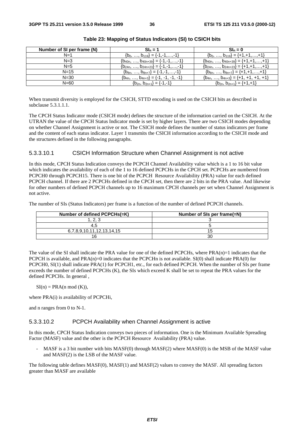| Number of SI per frame (N) | $Sh = 1$                                  | $Sh_n = 0$                                                          |
|----------------------------|-------------------------------------------|---------------------------------------------------------------------|
| $N=1$                      | ${b_0, , b_{119}} = {-1, -1, , -1}$       | ${b_0, , b_{119}} = {\text{+1,+1,,+1}}$                             |
| $N = 3$                    | ${b_{40n},,b_{40n+39}} = {-1,-1,,-1}$     | ${b_{40n}, \ldots, b_{40n+39}} = {\text{+1,+1}, \ldots, \text{+1}}$ |
| $N=5$                      | ${b_{24n},,b_{24n+23}}={-1,-1,,-1}$       | ${b_{24n},,b_{24n+23}} = {+1,+1,,+1}$                               |
| $N=15$                     | ${b_{8n}, , b_{8n+7}} = {-1, -1, , -1}$   | ${b_{8n},,b_{8n+7}}={+1,+1,,+1}$                                    |
| $N = 30$                   | ${b_{4n}, , b_{4n+3}} = {-1, -1, -1, -1}$ | ${b_{4n},,b_{4n+3}} = {\text{+1, +1, +1, +1}}$                      |
| $N = 60$                   | ${b_{2n}, b_{2n+1}} = {-1, -1}$           | ${b_{2n}, b_{2n+1}} = {\text{+1,+1}}$                               |

**Table 23: Mapping of Status Indicators (SI) to CSICH bits**

When transmit diversity is employed for the CSICH, STTD encoding is used on the CSICH bits as described in subclause 5.3.1.1.1.

The CPCH Status Indicator mode (CSICH mode) defines the structure of the information carried on the CSICH. At the UTRAN the value of the CPCH Status Indicator mode is set by higher layers. There are two CSICH modes depending on whether Channel Assignment is active or not. The CSICH mode defines the number of status indicators per frame and the content of each status indicator. Layer 1 transmits the CSICH information according to the CSICH mode and the structures defined in the following paragraphs.

#### 5.3.3.10.1 CSICH Information Structure when Channel Assignment is not active

In this mode, CPCH Status Indication conveys the PCPCH Channel Availability value which is a 1 to 16 bit value which indicates the availability of each of the 1 to 16 defined PCPCHs in the CPCH set. PCPCHs are numbered from PCPCH0 through PCPCH15. There is one bit of the PCPCH Resource Availability (PRA) value for each defined PCPCH channel. If there are 2 PCPCHs defined in the CPCH set, then there are 2 bits in the PRA value. And likewise for other numbers of defined PCPCH channels up to 16 maximum CPCH channels per set when Channel Assignment is not active.

The number of SIs (Status Indicators) per frame is a function of the number of defined PCPCH channels.

| Number of defined PCPCHs(=K) | Number of SIs per frame(=N) |
|------------------------------|-----------------------------|
|                              |                             |
|                              |                             |
| 6,7,8,9,10,11,12,13,14,15    |                             |
|                              |                             |

The value of the SI shall indicate the PRA value for one of the defined PCPCHs, where  $PRA(n)=1$  indicates that the PCPCH is available, and  $PRA(n)=0$  indicates that the PCPCHn is not available. SI(0) shall indicate  $PRA(0)$  for PCPCH0, SI(1) shall indicate PRA(1) for PCPCH1, etc., for each defined PCPCH. When the number of SIs per frame exceeds the number of defined PCPCHs (K), the SIs which exceed K shall be set to repeat the PRA values for the defined PCPCHs. In general ,

 $SI(n) = PRA(n \mod(K)),$ 

where PRA(i) is availability of PCPCHi,

and n ranges from 0 to N-1.

#### 5.3.3.10.2 PCPCH Availability when Channel Assignment is active

In this mode, CPCH Status Indication conveys two pieces of information. One is the Minimum Available Spreading Factor (MASF) value and the other is the PCPCH Resource Availability (PRA) value.

 $MASE$  is a 3 bit number with bits  $MASE(0)$  through  $MASE(2)$  where  $MASE(0)$  is the MSB of the MASF value and MASF(2) is the LSB of the MASF value.

The following table defines MASF(0), MASF(1) and MASF(2) values to convey the MASF. All spreading factors greater than MASF are available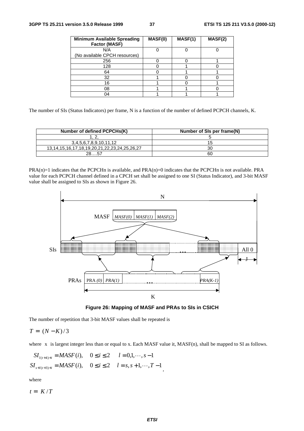| <b>Minimum Available Spreading</b><br>Factor (MASF) | MASF(0) | MASF(1) | MASF(2) |
|-----------------------------------------------------|---------|---------|---------|
| N/A                                                 |         |         |         |
| (No available CPCH resources)                       |         |         |         |
| 256                                                 |         |         |         |
| 128                                                 |         |         |         |
| 64                                                  |         |         |         |
| 32                                                  |         |         |         |
| 16                                                  |         |         |         |
| 08                                                  |         |         |         |
| 04                                                  |         |         |         |

The number of SIs (Status Indicators) per frame, N is a function of the number of defined PCPCH channels, K.

| Number of defined PCPCHs(K)                                | Number of SIs per frame(N) |
|------------------------------------------------------------|----------------------------|
|                                                            |                            |
| 3,4,5,6,7,8,9,10,11,12                                     | 15                         |
| 13, 14, 15, 16, 17, 18, 19, 20, 21, 22, 23, 24, 25, 26, 27 | 30                         |
| ററ                                                         | 60                         |

PRA(n)=1 indicates that the PCPCHn is available, and PRA(n)=0 indicates that the PCPCHn is not available. PRA value for each PCPCH channel defined in a CPCH set shall be assigned to one SI (Status Indicator), and 3-bit MASF value shall be assigned to SIs as shown in Figure 26.



**Figure 26: Mapping of MASF and PRAs to SIs in CSICH**

The number of repetition that 3-bit MASF values shall be repeated is

$$
T = \lfloor (N - K)/3 \rfloor
$$

where  $\lfloor x \rfloor$  is largest integer less than or equal to x. Each MASF value it, MASF(n), shall be mapped to SI as follows.

,

$$
SI_{l(t+4)+i} = MASF(i), \quad 0 \le i \le 2 \quad l = 0, 1, \dots, s-1
$$
  

$$
SI_{s+l(t+3)+i} = MASF(i), \quad 0 \le i \le 2 \quad l = s, s+1, \dots, T-1
$$

where

 $t = \lfloor K/T \rfloor$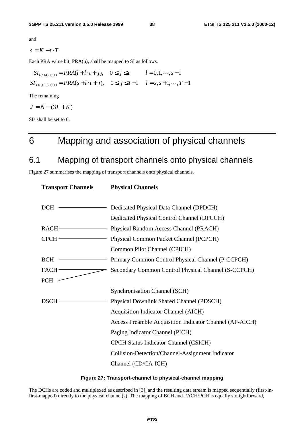and

$$
s = K - t \cdot T
$$

Each PRA value bit, PRA(n), shall be mapped to SI as follows.

$$
SI_{l(t+4)+j+3} = PRA(l+l \cdot t+j), \quad 0 \le j \le t \qquad l = 0, 1, \dots, s-1
$$
  

$$
SI_{s+l(t+3)+j+3} = PRA(s+l \cdot t+j), \quad 0 \le j \le t-1 \qquad l = s, s+1, \dots, T-1
$$

The remaining

$$
J = N - (3T + K)
$$

SIs shall be set to 0.

# 6 Mapping and association of physical channels

# 6.1 Mapping of transport channels onto physical channels

Figure 27 summarises the mapping of transport channels onto physical channels.

| <b>Transport Channels</b> | <b>Physical Channels</b>                                |
|---------------------------|---------------------------------------------------------|
|                           |                                                         |
| <b>DCH</b>                | Dedicated Physical Data Channel (DPDCH)                 |
|                           | Dedicated Physical Control Channel (DPCCH)              |
| $RACH$ -                  | Physical Random Access Channel (PRACH)                  |
| $CPCH$ —                  | Physical Common Packet Channel (PCPCH)                  |
|                           | Common Pilot Channel (CPICH)                            |
| BCH                       | Primary Common Control Physical Channel (P-CCPCH)       |
| $FACH$ –                  | Secondary Common Control Physical Channel (S-CCPCH)     |
| <b>PCH</b>                |                                                         |
|                           | <b>Synchronisation Channel (SCH)</b>                    |
| <b>DSCH</b>               | Physical Downlink Shared Channel (PDSCH)                |
|                           | <b>Acquisition Indicator Channel (AICH)</b>             |
|                           | Access Preamble Acquisition Indicator Channel (AP-AICH) |
|                           | Paging Indicator Channel (PICH)                         |
|                           | <b>CPCH Status Indicator Channel (CSICH)</b>            |
|                           | Collision-Detection/Channel-Assignment Indicator        |
|                           | Channel (CD/CA-ICH)                                     |

#### **Figure 27: Transport-channel to physical-channel mapping**

The DCHs are coded and multiplexed as described in [3], and the resulting data stream is mapped sequentially (first-infirst-mapped) directly to the physical channel(s). The mapping of BCH and FACH/PCH is equally straightforward,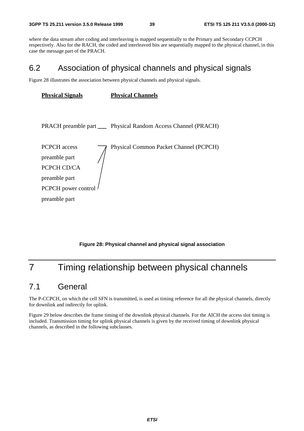where the data stream after coding and interleaving is mapped sequentially to the Primary and Secondary CCPCH respectively. Also for the RACH, the coded and interleaved bits are sequentially mapped to the physical channel, in this case the message part of the PRACH.

# 6.2 Association of physical channels and physical signals

Figure 28 illustrates the association between physical channels and physical signals.

| <b>Physical Signals</b>                                                                                      | <b>Physical Channels</b>                                         |
|--------------------------------------------------------------------------------------------------------------|------------------------------------------------------------------|
|                                                                                                              | PRACH preamble part _____ Physical Random Access Channel (PRACH) |
| <b>PCPCH</b> access<br>preamble part<br>PCPCH CD/CA<br>preamble part<br>PCPCH power control<br>preamble part | Physical Common Packet Channel (PCPCH)                           |

**Figure 28: Physical channel and physical signal association**

# 7 Timing relationship between physical channels

# 7.1 General

The P-CCPCH, on which the cell SFN is transmitted, is used as timing reference for all the physical channels, directly for downlink and indirectly for uplink.

Figure 29 below describes the frame timing of the downlink physical channels. For the AICH the access slot timing is included. Transmission timing for uplink physical channels is given by the received timing of downlink physical channels, as described in the following subclauses.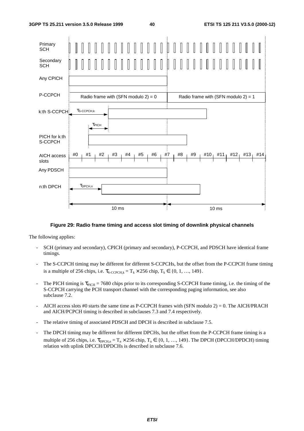

#### **Figure 29: Radio frame timing and access slot timing of downlink physical channels**

The following applies:

- SCH (primary and secondary), CPICH (primary and secondary), P-CCPCH, and PDSCH have identical frame timings.
- The S-CCPCH timing may be different for different S-CCPCHs, but the offset from the P-CCPCH frame timing is a multiple of 256 chips, i.e.  $\tau_{\text{S-CCPCH},k} = T_k \times 256$  chip,  $T_k \in \{0, 1, ..., 149\}$ .
- The PICH timing is  $\tau_{\text{PICH}} = 7680$  chips prior to its corresponding S-CCPCH frame timing, i.e. the timing of the S-CCPCH carrying the PCH transport channel with the corresponding paging information, see also subclause 7.2.
- AICH access slots #0 starts the same time as P-CCPCH frames with  $(SFN \text{ modulo } 2) = 0$ . The AICH/PRACH and AICH/PCPCH timing is described in subclauses 7.3 and 7.4 respectively.
- The relative timing of associated PDSCH and DPCH is described in subclause 7.5.
- The DPCH timing may be different for different DPCHs, but the offset from the P-CCPCH frame timing is a multiple of 256 chips, i.e.  $\tau_{\text{DPCH n}} = T_n \times 256$  chip,  $T_n \in \{0, 1, ..., 149\}$ . The DPCH (DPCCH/DPDCH) timing relation with uplink DPCCH/DPDCHs is described in subclause 7.6.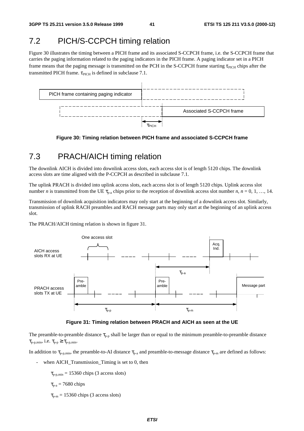### 7.2 PICH/S-CCPCH timing relation

Figure 30 illustrates the timing between a PICH frame and its associated S-CCPCH frame, i.e. the S-CCPCH frame that carries the paging information related to the paging indicators in the PICH frame. A paging indicator set in a PICH frame means that the paging message is transmitted on the PCH in the S-CCPCH frame starting  $\tau_{\text{PICH}}$  chips after the transmitted PICH frame.  $\tau_{\text{PICH}}$  is defined in subclause 7.1.



**Figure 30: Timing relation between PICH frame and associated S-CCPCH frame**

# 7.3 PRACH/AICH timing relation

The downlink AICH is divided into downlink access slots, each access slot is of length 5120 chips. The downlink access slots are time aligned with the P-CCPCH as described in subclause 7.1.

The uplink PRACH is divided into uplink access slots, each access slot is of length 5120 chips. Uplink access slot number *n* is transmitted from the UE  $\tau_{p-a}$  chips prior to the reception of downlink access slot number *n*, *n* = 0, 1, …, 14.

Transmission of downlink acquisition indicators may only start at the beginning of a downlink access slot. Similarly, transmission of uplink RACH preambles and RACH message parts may only start at the beginning of an uplink access slot.

The PRACH/AICH timing relation is shown in figure 31.



**Figure 31: Timing relation between PRACH and AICH as seen at the UE**

The preamble-to-preamble distance  $\tau_{p-p}$  shall be larger than or equal to the minimum preamble-to-preamble distance  $\tau_{\text{p-p,min}}$ , i.e.  $\tau_{\text{p-p}} \geq \tau_{\text{p-p,min}}$ .

In addition to  $\tau_{p-p,min}$ , the preamble-to-AI distance  $\tau_{p-a}$  and preamble-to-message distance  $\tau_{p-m}$  are defined as follows:

when AICH\_Transmission\_Timing is set to 0, then

 $\tau_{p-p,min} = 15360$  chips (3 access slots)

$$
\tau_{p-a} = 7680 \text{ chips}
$$

 $\tau_{p-m}$  = 15360 chips (3 access slots)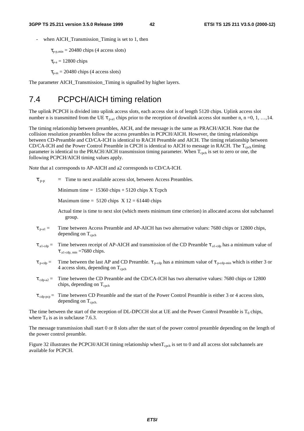when AICH Transmission Timing is set to 1, then

 $\tau_{p-n,min} = 20480$  chips (4 access slots)

 $\tau_{p-a} = 12800$  chips

 $\tau_{p-m}$  = 20480 chips (4 access slots)

The parameter AICH\_Transmission\_Timing is signalled by higher layers.

### 7.4 PCPCH/AICH timing relation

The uplink PCPCH is divided into uplink access slots, each access slot is of length 5120 chips. Uplink access slot number n is transmitted from the UE  $\tau_{p-al}$  chips prior to the reception of downlink access slot number n, n =0, 1, ..., 14.

The timing relationship between preambles, AICH, and the message is the same as PRACH/AICH. Note that the collision resolution preambles follow the access preambles in PCPCH/AICH. However, the timing relationships between CD-Preamble and CD/CA-ICH is identical to RACH Preamble and AICH. The timing relationship between CD/CA-ICH and the Power Control Preamble in CPCH is identical to AICH to message in RACH. The T<sub>cpch</sub> timing parameter is identical to the PRACH/AICH transmission timing parameter. When  $T_{\rm{cph}}$  is set to zero or one, the following PCPCH/AICH timing values apply.

Note that a1 corresponds to AP-AICH and a2 corresponds to CD/CA-ICH.

 $\tau_{p-p}$  = Time to next available access slot, between Access Preambles.

Minimum time  $= 15360$  chips  $+ 5120$  chips X Tcpch

Maximum time =  $5120$  chips  $X 12 = 61440$  chips

Actual time is time to next slot (which meets minimum time criterion) in allocated access slot subchannel group.

- $\tau_{p-al}$  = Time between Access Preamble and AP-AICH has two alternative values: 7680 chips or 12800 chips, depending on  $T_{\text{c}nch}$
- $\tau_{\text{al-cdp}} =$  Time between receipt of AP-AICH and transmission of the CD Preamble  $\tau_{\text{al-cdp}}$  has a minimum value of  $\tau$ <sub>a1-cdp</sub> <sub>min</sub> =7680 chips.
- $\tau_{p\text{-cdp}} =$  Time between the last AP and CD Preamble.  $\tau_{p\text{-cdp}}$  has a minimum value of  $\tau_{p\text{-cdp-min}}$  which is either 3 or 4 access slots, depending on  $T_{\text{cph}}$
- $\tau_{\text{cdp-}a2}$  = Time between the CD Preamble and the CD/CA-ICH has two alternative values: 7680 chips or 12800 chips, depending on  $T_{\text{coch}}$
- $\tau_{\text{cdp-pre}}$  = Time between CD Preamble and the start of the Power Control Preamble is either 3 or 4 access slots, depending on  $T_{\text{coch}}$ .

The time between the start of the reception of DL-DPCCH slot at UE and the Power Control Preamble is  $T_0$  chips, where  $T_0$  is as in subclause 7.6.3.

The message transmission shall start 0 or 8 slots after the start of the power control preamble depending on the length of the power control preamble.

Figure 32 illustrates the PCPCH/AICH timing relationship when  $T_{\rm{cpch}}$  is set to 0 and all access slot subchannels are available for PCPCH.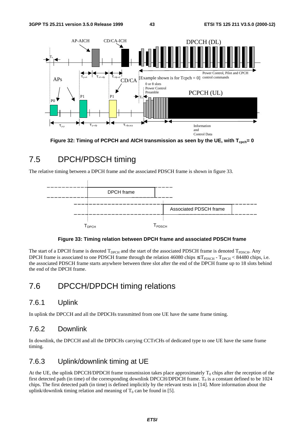



# 7.5 DPCH/PDSCH timing

The relative timing between a DPCH frame and the associated PDSCH frame is shown in figure 33.



#### **Figure 33: Timing relation between DPCH frame and associated PDSCH frame**

The start of a DPCH frame is denoted  $T_{\text{DPCH}}$  and the start of the associated PDSCH frame is denoted  $T_{\text{PDSCH}}$ . Any DPCH frame is associated to one PDSCH frame through the relation 46080 chips  $\leq T_{PDSCH}$  -  $T_{DPCH}$  < 84480 chips, i.e. the associated PDSCH frame starts anywhere between three slot after the end of the DPCH frame up to 18 slots behind the end of the DPCH frame.

### 7.6 DPCCH/DPDCH timing relations

### 7.6.1 Uplink

In uplink the DPCCH and all the DPDCHs transmitted from one UE have the same frame timing.

### 7.6.2 Downlink

In downlink, the DPCCH and all the DPDCHs carrying CCTrCHs of dedicated type to one UE have the same frame timing.

### 7.6.3 Uplink/downlink timing at UE

At the UE, the uplink DPCCH/DPDCH frame transmission takes place approximately  $T_0$  chips after the reception of the first detected path (in time) of the corresponding downlink DPCCH/DPDCH frame.  $T_0$  is a constant defined to be 1024 chips. The first detected path (in time) is defined implicitly by the relevant tests in [14]. More information about the uplink/downlink timing relation and meaning of  $T_0$  can be found in [5].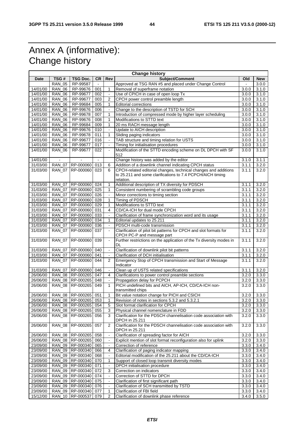# Annex A (informative): Change history

| <b>Change history</b> |               |                    |        |                          |                                                                                                 |       |            |
|-----------------------|---------------|--------------------|--------|--------------------------|-------------------------------------------------------------------------------------------------|-------|------------|
| Date                  | TSG#          | <b>TSG Doc.</b>    | CR     | Rev                      | Subject/Comment                                                                                 | Old   | <b>New</b> |
|                       | <b>RAN 05</b> | RP-99587           |        |                          | Approved at TSG RAN #5 and placed under Change Control                                          |       | 3.0.0      |
| 14/01/00              | <b>RAN 06</b> | RP-99676           | 001    | $\mathbf{1}$             | Removal of superframe notation                                                                  | 3.0.0 | 3.1.0      |
| 14/01/00              | <b>RAN 06</b> | RP-99677           | 002    | $\Box$                   | Use of CPICH in case of open loop Tx                                                            | 3.0.0 | 3.1.0      |
| 14/01/00              | <b>RAN_06</b> | RP-99677           | 003    | 2                        | CPCH power control preamble length                                                              | 3.0.0 | 3.1.0      |
| 14/01/00              | <b>RAN_06</b> | RP-99684           | 005    | $\mathbf{1}$             | <b>Editorial corrections</b>                                                                    | 3.0.0 | 3.1.0      |
| 14/01/00              | <b>RAN_06</b> | RP-99676           | 006    |                          | Change to the description of TSTD for SCH                                                       | 3.0.0 | 3.1.0      |
| 14/01/00              | <b>RAN_06</b> | RP-99678           | 007    | 1                        | Introduction of compressed mode by higher layer scheduling                                      | 3.0.0 | 3.1.0      |
| 14/01/00              | <b>RAN_06</b> | RP-99676           | 008    | $\mathbf{1}$             | Modifications to STTD text                                                                      | 3.0.0 | 3.1.0      |
| 14/01/00              | <b>RAN 06</b> | RP-99684           | 009    | $\mathbf{1}$             | 20 ms RACH message length                                                                       | 3.0.0 | 3.1.0      |
| 14/01/00              | <b>RAN_06</b> | RP-99676           | 010    |                          | Update to AICH description                                                                      | 3.0.0 | 3.1.0      |
| 14/01/00              | <b>RAN_06</b> | RP-99678           | 011    | $\mathbf{1}$             | Sliding paging indicators                                                                       | 3.0.0 | 3.1.0      |
| 14/01/00              | <b>RAN 06</b> | RP-99677           | 016    | $\blacksquare$           | TAB structure and timing relation for USTS                                                      | 3.0.0 | 3.1.0      |
| 14/01/00              | <b>RAN_06</b> | RP-99677           | 017    | $\blacksquare$           | Timing for initialisation procedures                                                            | 3.0.0 | 3.1.0      |
| 14/01/00              | <b>RAN_06</b> | RP-99677           | 022    | $\overline{\phantom{a}}$ | Modification of the STTD encoding scheme on DL DPCH with SF                                     | 3.0.0 | 3.1.0      |
|                       |               |                    |        |                          | 512                                                                                             |       |            |
| 14/01/00              |               |                    | $\sim$ |                          | Change history was added by the editor                                                          | 3.1.0 | 3.1.1      |
| 31/03/00              | <b>RAN_07</b> | RP-000060          | 013    | 6                        | Addition of a downlink channel indicating CPCH status                                           | 3.1.1 | 3.2.0      |
| 31/03/00              | <b>RAN 07</b> | RP-000060          | 023    | 6                        | CPCH-related editorial changes, technical changes and additions                                 | 3.1.1 | 3.2.0      |
|                       |               |                    |        |                          | to 25.211 and some clarifications to 7.4 PCPCH/AICH timing<br>relation.                         |       |            |
| 31/03/00              | <b>RAN_07</b> | RP-000060          | 024    | $\mathbf{1}$             | Additional description of TX diversity for PDSCH                                                | 3.1.1 | 3.2.0      |
| 31/03/00              | <b>RAN 07</b> | RP-000060          | 025    | 1                        | Consistent numbering of scrambling code groups                                                  | 3.1.1 | 3.2.0      |
| 31/03/00              | <b>RAN_07</b> | RP-000060          | 026    | $\Box$                   | Minor corrections to timing section                                                             | 3.1.1 | 3.2.0      |
| 31/03/00              | <b>RAN 07</b> | RP-000060          | 028    | $\mathbf{1}$             | Timing of PDSCH                                                                                 | 3.1.1 | 3.2.0      |
| 31/03/00              | <b>RAN 07</b> | RP-000060          | 029    | $\mathbf{1}$             | Modifications to STTD text                                                                      | 3.1.1 | 3.2.0      |
| 31/03/00              | <b>RAN_07</b> | RP-000060          | 031    | 4                        | CD/CA-ICH for dual mode CPCH                                                                    | 3.1.1 | 3.2.0      |
| 31/03/00              | <b>RAN 07</b> | RP-000060          | 033    |                          | Clarification of frame synchronization word and its usage                                       | 3.1.1 | 3.2.0      |
|                       | <b>RAN 07</b> | RP-000060          | 034    | 1                        | Editorial updates to 25.211                                                                     | 3.1.1 | 3.2.0      |
| 31/03/00              |               |                    |        | $\Box$                   | PDSCH multi-code transmission                                                                   |       |            |
| 31/03/00              | <b>RAN_07</b> | RP-000060          | 036    |                          |                                                                                                 | 3.1.1 | 3.2.0      |
| 31/03/00              | <b>RAN_07</b> | RP-000060          | 037    | $\Box$                   | Clarification of pilot bit patterns for CPCH and slot formats for<br>CPCH PC-P and message part | 3.1.1 | 3.2.0      |
| 31/03/00              | <b>RAN_07</b> | RP-000060          | 039    | $\blacksquare$           | Further restrictions on the application of the Tx diversity modes in<br>DL                      | 3.1.1 | 3.2.0      |
| 31/03/00              | <b>RAN_07</b> | RP-000060          | 040    | $\blacksquare$           | Clarification of downlink pilot bit patterns                                                    | 3.1.1 | 3.2.0      |
| 31/03/00              | <b>RAN 07</b> | RP-000060          | 041    | $\blacksquare$           | Clarification of DCH initialisation                                                             | 3.1.1 | 3.2.0      |
| 31/03/00              | <b>RAN_07</b> | RP-000060          | 044    | 2                        | Emergency Stop of CPCH transmission and Start of Message<br>Indicator                           | 3.1.1 | 3.2.0      |
| 31/03/00              | <b>RAN_07</b> | RP-000060          | 046    | $\Box$                   | Clean up of USTS related specifications                                                         | 3.1.1 | 3.2.0      |
| 26/06/00              | <b>RAN 08</b> | RP-000265          | 047    | 4                        | Clarifications to power control preamble sections                                               | 3.2.0 | 3.3.0      |
| 26/06/00              | <b>RAN_08</b> | RP-000265          | 048    | $\blacksquare$           | Propagation delay for PCPCH                                                                     | 3.2.0 | 3.3.0      |
| 26/06/00              | <b>RAN_08</b> | RP-000265          | 049    | $\mathbf{1}$             | PICH undefined bits and AICH, AP-ICH, CD/CA-ICH non-<br>transmitted chips                       | 3.2.0 | 3.3.0      |
| 26/06/00              |               | RAN_08   RP-000265 | 051    | $\mathbf{1}$             | Bit value notation change for PICH and CSICH                                                    | 3.2.0 | 3.3.0      |
| 26/06/00              |               | RAN 08 RP-000265   | 053    | 1                        | Revision of notes in sections 5.3.2 and 5.3.2.1                                                 | 3.2.0 | 3.3.0      |
| 26/06/00              |               | RAN_08 RP-000265   | 054    | 5                        | Slot format clarification for CPCH                                                              | 3.2.0 | 3.3.0      |
| 26/06/00              |               | RAN_08 RP-000265   | 055    | 3                        | Physical channel nomenclature in FDD                                                            | 3.2.0 | 3.3.0      |
| 26/06/00              | <b>RAN_08</b> | RP-000265          | 056    | 3                        | Clarification for the PDSCH channelisation code association with                                | 3.2.0 | 3.3.0      |
| 26/06/00              | <b>RAN_08</b> | RP-000265          | 057    | 2                        | DPCH in 25.211<br>Clarification for the PDSCH channelisation code association with              | 3.2.0 | 3.3.0      |
|                       |               |                    |        |                          | DPCH in 25.211                                                                                  |       |            |
| 26/06/00              | <b>RAN_08</b> | RP-000265          | 058    |                          | Clarification of spreading factor for AICH                                                      | 3.2.0 | 3.3.0      |
| 26/06/00              |               | RAN_08 RP-000265   | 060    | $\Box$                   | Explicit mention of slot format reconfiguration also for uplink                                 | 3.2.0 | 3.3.0      |
| 23/09/00              |               | RAN_09 RP-000340   | 065    | $\blacksquare$           | Correction of reference                                                                         | 3.3.0 | 3.4.0      |
| 23/09/00              |               | RAN_09 RP-000340   | 066    | 4                        | Clarification of paging indicator mapping                                                       | 3.3.0 | 3.4.0      |
| 23/09/00              |               | RAN_09 RP-000340   | 068    |                          | Editorial modification of the 25.211 about the CD/CA-ICH                                        | 3.3.0 | 3.4.0      |
| 23/09/00              |               | RAN_09 RP-000340   | 070    | 1                        | Support of closed loop transmit diversity modes                                                 | 3.3.0 | 3.4.0      |
| 23/09/00              | <b>RAN_09</b> | RP-000340          | 071    | $\Box$                   | DPCH initialisation procedure                                                                   | 3.3.0 | 3.4.0      |
| 23/09/00              | <b>RAN_09</b> | RP-000340          | 072    | 3                        | Correction on indicators                                                                        | 3.3.0 | 3.4.0      |
| 23/09/00              |               | RAN_09 RP-000340   | 074    | $\Box$                   | Correction of STTD for DPCH                                                                     | 3.3.0 | 3.4.0      |
| 23/09/00              | RAN_09        | RP-000340          | 075    | $\Box$                   | Clarification of first significant path                                                         | 3.3.0 | 3.4.0      |
| 23/09/00              | <b>RAN_09</b> | RP-000340          | 076    | $\Box$                   | Clarification of SCH transmitted by TSTD                                                        | 3.3.0 | 3.4.0      |
| 23/09/00              |               | RAN_09 RP-000340   | 077    | 1                        | Clarification of FBI field                                                                      | 3.3.0 | 3.4.0      |
| 15/12/00              |               | RAN_10 RP-000537   | 079    | 2                        | Clarification of downlink phase reference                                                       | 3.4.0 | 3.5.0      |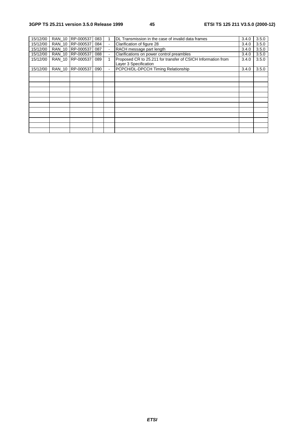| 15/12/00 | <b>RAN 10</b> | RP-000537 | 083 |              | DL Transmission in the case of invalid data frames                                    | 3.4.0 | 3.5.0 |
|----------|---------------|-----------|-----|--------------|---------------------------------------------------------------------------------------|-------|-------|
| 15/12/00 | <b>RAN 10</b> | RP-000537 | 084 | $\mathbf{r}$ | Clarification of figure 28                                                            | 3.4.0 | 3.5.0 |
| 15/12/00 | <b>RAN 10</b> | RP-000537 | 087 |              | RACH message part length                                                              | 3.4.0 | 3.5.0 |
| 15/12/00 | <b>RAN 10</b> | RP-000537 | 088 |              | Clarifications on power control preambles                                             | 3.4.0 | 3.5.0 |
| 15/12/00 | <b>RAN 10</b> | RP-000537 | 089 |              | Proposed CR to 25.211 for transfer of CSICH Information from<br>Layer 3 Specification | 3.4.0 | 3.5.0 |
| 15/12/00 | <b>RAN 10</b> | RP-000537 | 090 |              | PCPCH/DL-DPCCH Timing Relationship                                                    | 3.4.0 | 3.5.0 |
|          |               |           |     |              |                                                                                       |       |       |
|          |               |           |     |              |                                                                                       |       |       |
|          |               |           |     |              |                                                                                       |       |       |
|          |               |           |     |              |                                                                                       |       |       |
|          |               |           |     |              |                                                                                       |       |       |
|          |               |           |     |              |                                                                                       |       |       |
|          |               |           |     |              |                                                                                       |       |       |
|          |               |           |     |              |                                                                                       |       |       |
|          |               |           |     |              |                                                                                       |       |       |
|          |               |           |     |              |                                                                                       |       |       |
|          |               |           |     |              |                                                                                       |       |       |
|          |               |           |     |              |                                                                                       |       |       |